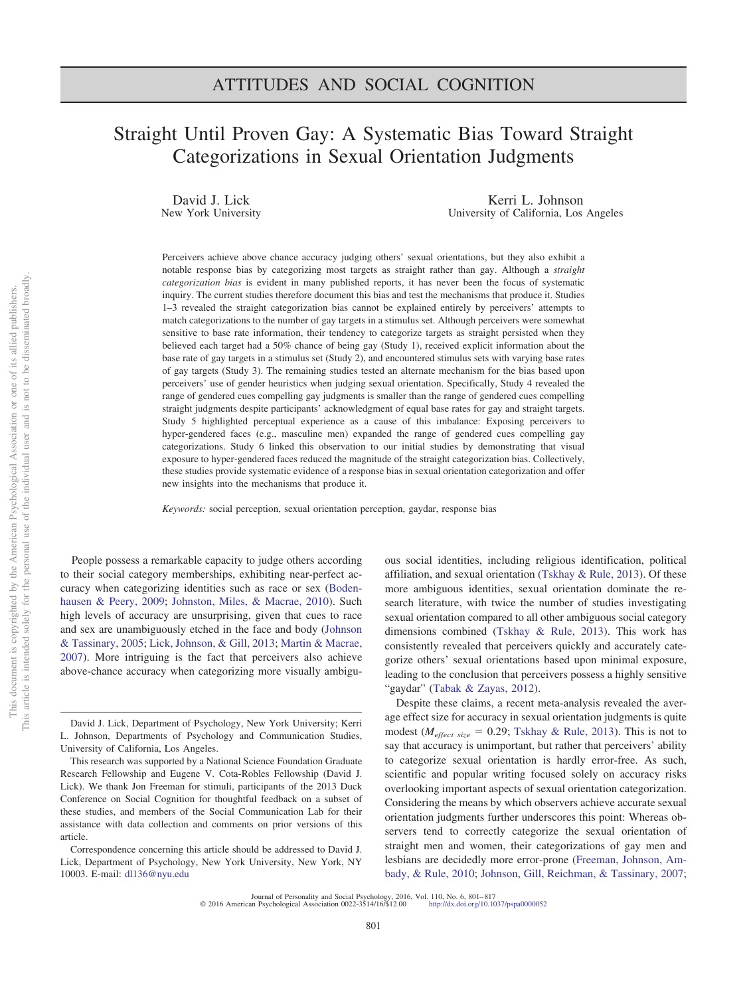# Straight Until Proven Gay: A Systematic Bias Toward Straight Categorizations in Sexual Orientation Judgments

David J. Lick New York University

Kerri L. Johnson University of California, Los Angeles

Perceivers achieve above chance accuracy judging others' sexual orientations, but they also exhibit a notable response bias by categorizing most targets as straight rather than gay. Although a *straight categorization bias* is evident in many published reports, it has never been the focus of systematic inquiry. The current studies therefore document this bias and test the mechanisms that produce it. Studies 1–3 revealed the straight categorization bias cannot be explained entirely by perceivers' attempts to match categorizations to the number of gay targets in a stimulus set. Although perceivers were somewhat sensitive to base rate information, their tendency to categorize targets as straight persisted when they believed each target had a 50% chance of being gay (Study 1), received explicit information about the base rate of gay targets in a stimulus set (Study 2), and encountered stimulus sets with varying base rates of gay targets (Study 3). The remaining studies tested an alternate mechanism for the bias based upon perceivers' use of gender heuristics when judging sexual orientation. Specifically, Study 4 revealed the range of gendered cues compelling gay judgments is smaller than the range of gendered cues compelling straight judgments despite participants' acknowledgment of equal base rates for gay and straight targets. Study 5 highlighted perceptual experience as a cause of this imbalance: Exposing perceivers to hyper-gendered faces (e.g., masculine men) expanded the range of gendered cues compelling gay categorizations. Study 6 linked this observation to our initial studies by demonstrating that visual exposure to hyper-gendered faces reduced the magnitude of the straight categorization bias. Collectively, these studies provide systematic evidence of a response bias in sexual orientation categorization and offer new insights into the mechanisms that produce it.

*Keywords:* social perception, sexual orientation perception, gaydar, response bias

People possess a remarkable capacity to judge others according to their social category memberships, exhibiting near-perfect accuracy when categorizing identities such as race or sex [\(Boden](#page-15-0)[hausen & Peery, 2009;](#page-15-0) [Johnston, Miles, & Macrae, 2010\)](#page-15-1). Such high levels of accuracy are unsurprising, given that cues to race and sex are unambiguously etched in the face and body [\(Johnson](#page-15-2) [& Tassinary, 2005;](#page-15-2) [Lick, Johnson, & Gill, 2013;](#page-16-0) [Martin & Macrae,](#page-16-1) [2007\)](#page-16-1). More intriguing is the fact that perceivers also achieve above-chance accuracy when categorizing more visually ambiguous social identities, including religious identification, political affiliation, and sexual orientation [\(Tskhay & Rule, 2013\)](#page-16-2). Of these more ambiguous identities, sexual orientation dominate the research literature, with twice the number of studies investigating sexual orientation compared to all other ambiguous social category dimensions combined [\(Tskhay & Rule, 2013\)](#page-16-2). This work has consistently revealed that perceivers quickly and accurately categorize others' sexual orientations based upon minimal exposure, leading to the conclusion that perceivers possess a highly sensitive "gaydar" [\(Tabak & Zayas, 2012\)](#page-16-3).

Despite these claims, a recent meta-analysis revealed the average effect size for accuracy in sexual orientation judgments is quite modest ( $M_{effect\ size} = 0.29$ ; [Tskhay & Rule, 2013\)](#page-16-2). This is not to say that accuracy is unimportant, but rather that perceivers' ability to categorize sexual orientation is hardly error-free. As such, scientific and popular writing focused solely on accuracy risks overlooking important aspects of sexual orientation categorization. Considering the means by which observers achieve accurate sexual orientation judgments further underscores this point: Whereas observers tend to correctly categorize the sexual orientation of straight men and women, their categorizations of gay men and lesbians are decidedly more error-prone [\(Freeman, Johnson, Am](#page-15-3)[bady, & Rule, 2010;](#page-15-3) [Johnson, Gill, Reichman, & Tassinary, 2007;](#page-15-4)

David J. Lick, Department of Psychology, New York University; Kerri L. Johnson, Departments of Psychology and Communication Studies, University of California, Los Angeles.

This research was supported by a National Science Foundation Graduate Research Fellowship and Eugene V. Cota-Robles Fellowship (David J. Lick). We thank Jon Freeman for stimuli, participants of the 2013 Duck Conference on Social Cognition for thoughtful feedback on a subset of these studies, and members of the Social Communication Lab for their assistance with data collection and comments on prior versions of this article.

Correspondence concerning this article should be addressed to David J. Lick, Department of Psychology, New York University, New York, NY 10003. E-mail: [dl136@nyu.edu](mailto:dl136@nyu.edu)

Journal of Personality and Social Psychology, 2016, Vol. 110, No. 6, 801–817<br>© 2016 American Psychological Association 0022-3514/16/\$12.00 http://dx.doi.org[/10.1037/pspa0000052](http://dx.doi.org/10.1037/pspa0000052)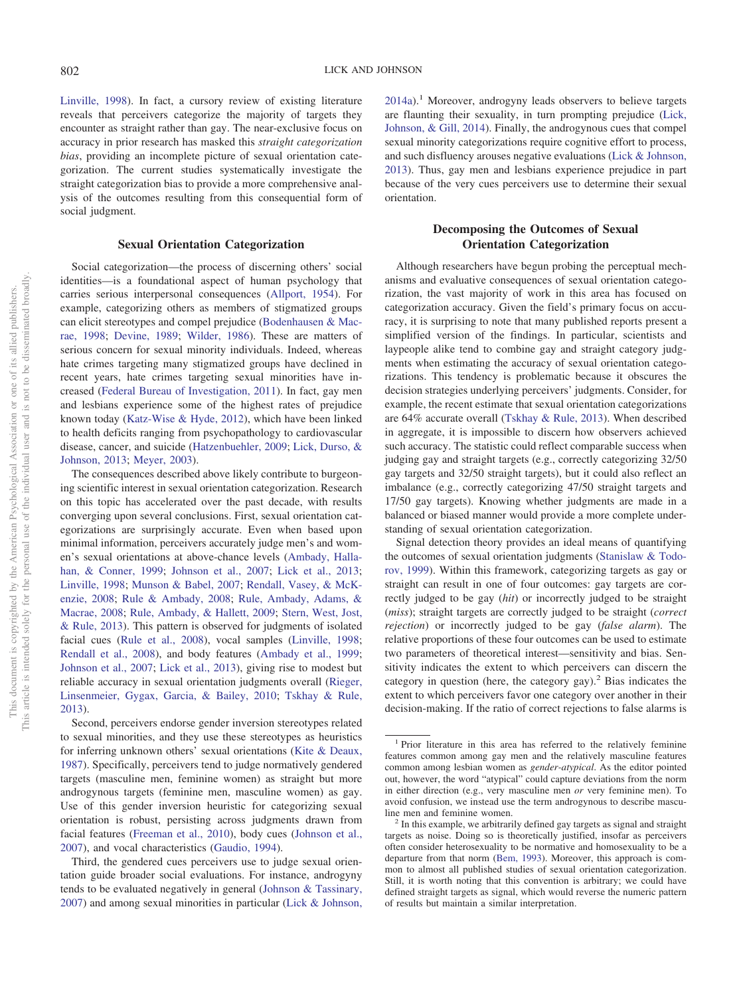[Linville, 1998\)](#page-16-4). In fact, a cursory review of existing literature reveals that perceivers categorize the majority of targets they encounter as straight rather than gay. The near-exclusive focus on accuracy in prior research has masked this *straight categorization bias*, providing an incomplete picture of sexual orientation categorization. The current studies systematically investigate the straight categorization bias to provide a more comprehensive analysis of the outcomes resulting from this consequential form of social judgment.

#### **Sexual Orientation Categorization**

Social categorization—the process of discerning others' social identities—is a foundational aspect of human psychology that carries serious interpersonal consequences [\(Allport, 1954\)](#page-15-5). For example, categorizing others as members of stigmatized groups can elicit stereotypes and compel prejudice [\(Bodenhausen & Mac](#page-15-6)[rae, 1998;](#page-15-6) [Devine, 1989;](#page-15-7) [Wilder, 1986\)](#page-16-5). These are matters of serious concern for sexual minority individuals. Indeed, whereas hate crimes targeting many stigmatized groups have declined in recent years, hate crimes targeting sexual minorities have increased [\(Federal Bureau of Investigation, 2011\)](#page-15-8). In fact, gay men and lesbians experience some of the highest rates of prejudice known today [\(Katz-Wise & Hyde, 2012\)](#page-16-6), which have been linked to health deficits ranging from psychopathology to cardiovascular disease, cancer, and suicide [\(Hatzenbuehler, 2009;](#page-15-9) [Lick, Durso, &](#page-16-7) [Johnson, 2013;](#page-16-7) [Meyer, 2003\)](#page-16-8).

The consequences described above likely contribute to burgeoning scientific interest in sexual orientation categorization. Research on this topic has accelerated over the past decade, with results converging upon several conclusions. First, sexual orientation categorizations are surprisingly accurate. Even when based upon minimal information, perceivers accurately judge men's and women's sexual orientations at above-chance levels [\(Ambady, Halla](#page-15-10)[han, & Conner, 1999;](#page-15-10) [Johnson et al., 2007;](#page-15-4) [Lick et al., 2013;](#page-16-7) [Linville, 1998;](#page-16-4) [Munson & Babel, 2007;](#page-16-9) [Rendall, Vasey, & McK](#page-16-10)[enzie, 2008;](#page-16-10) [Rule & Ambady, 2008;](#page-16-11) [Rule, Ambady, Adams, &](#page-16-12) [Macrae, 2008;](#page-16-12) [Rule, Ambady, & Hallett, 2009;](#page-16-13) [Stern, West, Jost,](#page-16-14) [& Rule, 2013\)](#page-16-14). This pattern is observed for judgments of isolated facial cues [\(Rule et al., 2008\)](#page-16-11), vocal samples [\(Linville, 1998;](#page-16-4) [Rendall et al., 2008\)](#page-16-10), and body features [\(Ambady et al., 1999;](#page-15-10) [Johnson et al., 2007;](#page-15-4) [Lick et al., 2013\)](#page-16-7), giving rise to modest but reliable accuracy in sexual orientation judgments overall [\(Rieger,](#page-16-15) [Linsenmeier, Gygax, Garcia, & Bailey, 2010;](#page-16-15) [Tskhay & Rule,](#page-16-2) [2013\)](#page-16-2).

Second, perceivers endorse gender inversion stereotypes related to sexual minorities, and they use these stereotypes as heuristics for inferring unknown others' sexual orientations [\(Kite & Deaux,](#page-16-16) [1987\)](#page-16-16). Specifically, perceivers tend to judge normatively gendered targets (masculine men, feminine women) as straight but more androgynous targets (feminine men, masculine women) as gay. Use of this gender inversion heuristic for categorizing sexual orientation is robust, persisting across judgments drawn from facial features [\(Freeman et al., 2010\)](#page-15-3), body cues [\(Johnson et al.,](#page-15-4) [2007\)](#page-15-4), and vocal characteristics [\(Gaudio, 1994\)](#page-15-11).

 $2014a$ .<sup>1</sup> Moreover, androgyny leads observers to believe targets are flaunting their sexuality, in turn prompting prejudice [\(Lick,](#page-16-18) [Johnson, & Gill, 2014\)](#page-16-18). Finally, the androgynous cues that compel sexual minority categorizations require cognitive effort to process, and such disfluency arouses negative evaluations [\(Lick & Johnson,](#page-16-19) [2013\)](#page-16-19). Thus, gay men and lesbians experience prejudice in part because of the very cues perceivers use to determine their sexual orientation.

# **Decomposing the Outcomes of Sexual Orientation Categorization**

Although researchers have begun probing the perceptual mechanisms and evaluative consequences of sexual orientation categorization, the vast majority of work in this area has focused on categorization accuracy. Given the field's primary focus on accuracy, it is surprising to note that many published reports present a simplified version of the findings. In particular, scientists and laypeople alike tend to combine gay and straight category judgments when estimating the accuracy of sexual orientation categorizations. This tendency is problematic because it obscures the decision strategies underlying perceivers' judgments. Consider, for example, the recent estimate that sexual orientation categorizations are 64% accurate overall [\(Tskhay & Rule, 2013\)](#page-16-2). When described in aggregate, it is impossible to discern how observers achieved such accuracy. The statistic could reflect comparable success when judging gay and straight targets (e.g., correctly categorizing 32/50 gay targets and 32/50 straight targets), but it could also reflect an imbalance (e.g., correctly categorizing 47/50 straight targets and 17/50 gay targets). Knowing whether judgments are made in a balanced or biased manner would provide a more complete understanding of sexual orientation categorization.

Signal detection theory provides an ideal means of quantifying the outcomes of sexual orientation judgments [\(Stanislaw & Todo](#page-16-20)[rov, 1999\)](#page-16-20). Within this framework, categorizing targets as gay or straight can result in one of four outcomes: gay targets are correctly judged to be gay (*hit*) or incorrectly judged to be straight (*miss*); straight targets are correctly judged to be straight (*correct rejection*) or incorrectly judged to be gay (*false alarm*). The relative proportions of these four outcomes can be used to estimate two parameters of theoretical interest—sensitivity and bias. Sensitivity indicates the extent to which perceivers can discern the category in question (here, the category gay).<sup>2</sup> Bias indicates the extent to which perceivers favor one category over another in their decision-making. If the ratio of correct rejections to false alarms is

Third, the gendered cues perceivers use to judge sexual orientation guide broader social evaluations. For instance, androgyny tends to be evaluated negatively in general [\(Johnson & Tassinary,](#page-15-12) [2007\)](#page-15-12) and among sexual minorities in particular [\(Lick & Johnson,](#page-16-17)

<sup>&</sup>lt;sup>1</sup> Prior literature in this area has referred to the relatively feminine features common among gay men and the relatively masculine features common among lesbian women as *gender-atypical*. As the editor pointed out, however, the word "atypical" could capture deviations from the norm in either direction (e.g., very masculine men *or* very feminine men). To avoid confusion, we instead use the term androgynous to describe masculine men and feminine women.<br><sup>2</sup> In this example, we arbitrarily defined gay targets as signal and straight

targets as noise. Doing so is theoretically justified, insofar as perceivers often consider heterosexuality to be normative and homosexuality to be a departure from that norm [\(Bem, 1993\)](#page-15-13). Moreover, this approach is common to almost all published studies of sexual orientation categorization. Still, it is worth noting that this convention is arbitrary; we could have defined straight targets as signal, which would reverse the numeric pattern of results but maintain a similar interpretation.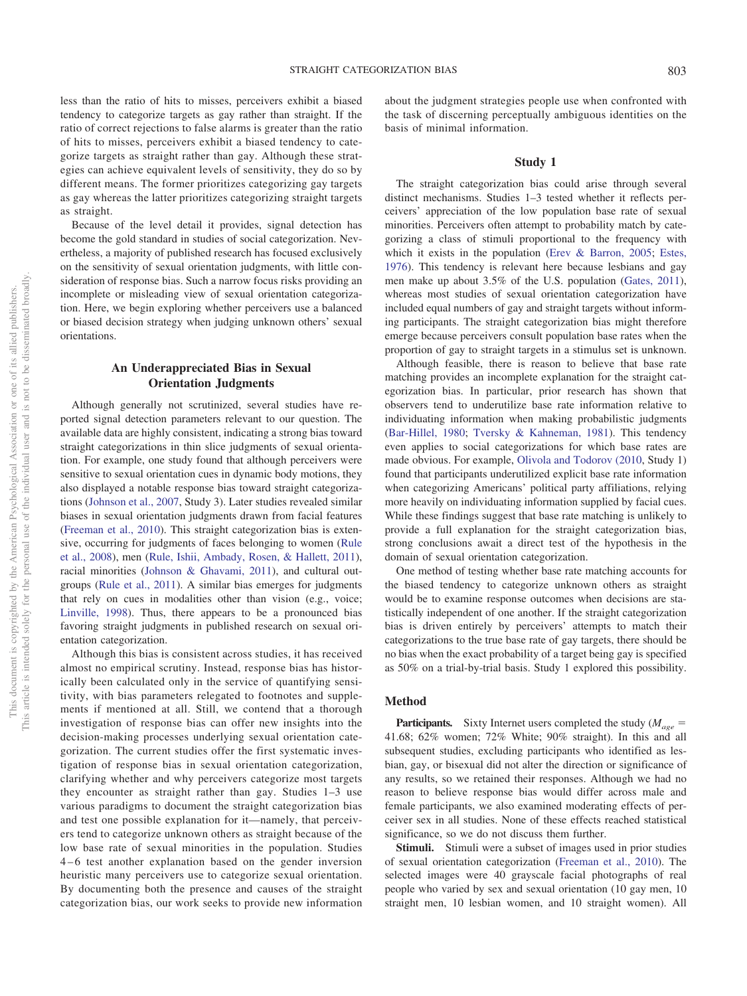less than the ratio of hits to misses, perceivers exhibit a biased tendency to categorize targets as gay rather than straight. If the ratio of correct rejections to false alarms is greater than the ratio of hits to misses, perceivers exhibit a biased tendency to categorize targets as straight rather than gay. Although these strategies can achieve equivalent levels of sensitivity, they do so by different means. The former prioritizes categorizing gay targets as gay whereas the latter prioritizes categorizing straight targets as straight.

Because of the level detail it provides, signal detection has become the gold standard in studies of social categorization. Nevertheless, a majority of published research has focused exclusively on the sensitivity of sexual orientation judgments, with little consideration of response bias. Such a narrow focus risks providing an incomplete or misleading view of sexual orientation categorization. Here, we begin exploring whether perceivers use a balanced or biased decision strategy when judging unknown others' sexual orientations.

# **An Underappreciated Bias in Sexual Orientation Judgments**

Although generally not scrutinized, several studies have reported signal detection parameters relevant to our question. The available data are highly consistent, indicating a strong bias toward straight categorizations in thin slice judgments of sexual orientation. For example, one study found that although perceivers were sensitive to sexual orientation cues in dynamic body motions, they also displayed a notable response bias toward straight categorizations [\(Johnson et al., 2007,](#page-15-4) Study 3). Later studies revealed similar biases in sexual orientation judgments drawn from facial features [\(Freeman et al., 2010\)](#page-15-3). This straight categorization bias is extensive, occurring for judgments of faces belonging to women [\(Rule](#page-16-11) [et al., 2008\)](#page-16-11), men [\(Rule, Ishii, Ambady, Rosen, & Hallett, 2011\)](#page-16-21), racial minorities [\(Johnson & Ghavami, 2011\)](#page-15-14), and cultural outgroups [\(Rule et al., 2011\)](#page-16-21). A similar bias emerges for judgments that rely on cues in modalities other than vision (e.g., voice; [Linville, 1998\)](#page-16-4). Thus, there appears to be a pronounced bias favoring straight judgments in published research on sexual orientation categorization.

Although this bias is consistent across studies, it has received almost no empirical scrutiny. Instead, response bias has historically been calculated only in the service of quantifying sensitivity, with bias parameters relegated to footnotes and supplements if mentioned at all. Still, we contend that a thorough investigation of response bias can offer new insights into the decision-making processes underlying sexual orientation categorization. The current studies offer the first systematic investigation of response bias in sexual orientation categorization, clarifying whether and why perceivers categorize most targets they encounter as straight rather than gay. Studies 1–3 use various paradigms to document the straight categorization bias and test one possible explanation for it—namely, that perceivers tend to categorize unknown others as straight because of the low base rate of sexual minorities in the population. Studies 4 – 6 test another explanation based on the gender inversion heuristic many perceivers use to categorize sexual orientation. By documenting both the presence and causes of the straight categorization bias, our work seeks to provide new information

about the judgment strategies people use when confronted with the task of discerning perceptually ambiguous identities on the basis of minimal information.

#### **Study 1**

The straight categorization bias could arise through several distinct mechanisms. Studies 1–3 tested whether it reflects perceivers' appreciation of the low population base rate of sexual minorities. Perceivers often attempt to probability match by categorizing a class of stimuli proportional to the frequency with which it exists in the population [\(Erev & Barron, 2005;](#page-15-15) [Estes,](#page-15-16) [1976\)](#page-15-16). This tendency is relevant here because lesbians and gay men make up about 3.5% of the U.S. population [\(Gates, 2011\)](#page-15-17), whereas most studies of sexual orientation categorization have included equal numbers of gay and straight targets without informing participants. The straight categorization bias might therefore emerge because perceivers consult population base rates when the proportion of gay to straight targets in a stimulus set is unknown.

Although feasible, there is reason to believe that base rate matching provides an incomplete explanation for the straight categorization bias. In particular, prior research has shown that observers tend to underutilize base rate information relative to individuating information when making probabilistic judgments [\(Bar-Hillel, 1980;](#page-15-18) [Tversky & Kahneman, 1981\)](#page-16-22). This tendency even applies to social categorizations for which base rates are made obvious. For example, [Olivola and Todorov \(2010,](#page-16-23) Study 1) found that participants underutilized explicit base rate information when categorizing Americans' political party affiliations, relying more heavily on individuating information supplied by facial cues. While these findings suggest that base rate matching is unlikely to provide a full explanation for the straight categorization bias, strong conclusions await a direct test of the hypothesis in the domain of sexual orientation categorization.

One method of testing whether base rate matching accounts for the biased tendency to categorize unknown others as straight would be to examine response outcomes when decisions are statistically independent of one another. If the straight categorization bias is driven entirely by perceivers' attempts to match their categorizations to the true base rate of gay targets, there should be no bias when the exact probability of a target being gay is specified as 50% on a trial-by-trial basis. Study 1 explored this possibility.

### **Method**

**Participants.** Sixty Internet users completed the study  $(M_{age}$  = 41.68; 62% women; 72% White; 90% straight). In this and all subsequent studies, excluding participants who identified as lesbian, gay, or bisexual did not alter the direction or significance of any results, so we retained their responses. Although we had no reason to believe response bias would differ across male and female participants, we also examined moderating effects of perceiver sex in all studies. None of these effects reached statistical significance, so we do not discuss them further.

**Stimuli.** Stimuli were a subset of images used in prior studies of sexual orientation categorization [\(Freeman et al., 2010\)](#page-15-3). The selected images were 40 grayscale facial photographs of real people who varied by sex and sexual orientation (10 gay men, 10 straight men, 10 lesbian women, and 10 straight women). All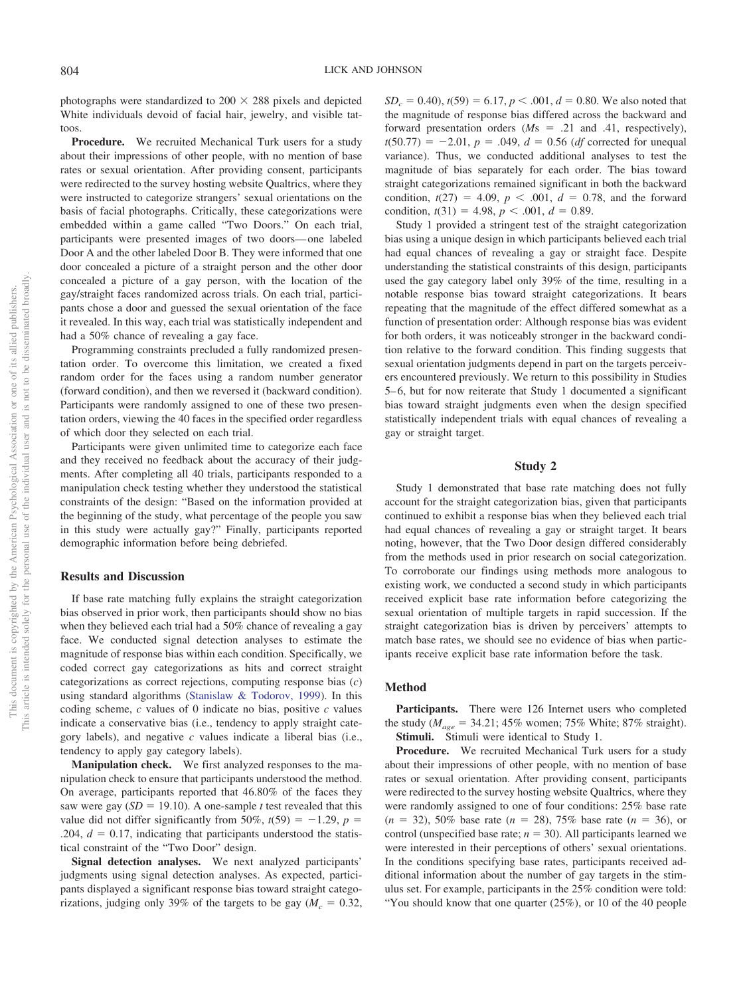photographs were standardized to  $200 \times 288$  pixels and depicted White individuals devoid of facial hair, jewelry, and visible tattoos.

**Procedure.** We recruited Mechanical Turk users for a study about their impressions of other people, with no mention of base rates or sexual orientation. After providing consent, participants were redirected to the survey hosting website Qualtrics, where they were instructed to categorize strangers' sexual orientations on the basis of facial photographs. Critically, these categorizations were embedded within a game called "Two Doors." On each trial, participants were presented images of two doors— one labeled Door A and the other labeled Door B. They were informed that one door concealed a picture of a straight person and the other door concealed a picture of a gay person, with the location of the gay/straight faces randomized across trials. On each trial, participants chose a door and guessed the sexual orientation of the face it revealed. In this way, each trial was statistically independent and had a 50% chance of revealing a gay face.

Programming constraints precluded a fully randomized presentation order. To overcome this limitation, we created a fixed random order for the faces using a random number generator (forward condition), and then we reversed it (backward condition). Participants were randomly assigned to one of these two presentation orders, viewing the 40 faces in the specified order regardless of which door they selected on each trial.

Participants were given unlimited time to categorize each face and they received no feedback about the accuracy of their judgments. After completing all 40 trials, participants responded to a manipulation check testing whether they understood the statistical constraints of the design: "Based on the information provided at the beginning of the study, what percentage of the people you saw in this study were actually gay?" Finally, participants reported demographic information before being debriefed.

#### **Results and Discussion**

If base rate matching fully explains the straight categorization bias observed in prior work, then participants should show no bias when they believed each trial had a 50% chance of revealing a gay face. We conducted signal detection analyses to estimate the magnitude of response bias within each condition. Specifically, we coded correct gay categorizations as hits and correct straight categorizations as correct rejections, computing response bias (*c*) using standard algorithms [\(Stanislaw & Todorov, 1999\)](#page-16-20). In this coding scheme, *c* values of 0 indicate no bias, positive *c* values indicate a conservative bias (i.e., tendency to apply straight category labels), and negative *c* values indicate a liberal bias (i.e., tendency to apply gay category labels).

**Manipulation check.** We first analyzed responses to the manipulation check to ensure that participants understood the method. On average, participants reported that 46.80% of the faces they saw were gay  $(SD = 19.10)$ . A one-sample *t* test revealed that this value did not differ significantly from 50%,  $t(59) = -1.29$ ,  $p =$  $.204, d = 0.17$ , indicating that participants understood the statistical constraint of the "Two Door" design.

**Signal detection analyses.** We next analyzed participants' judgments using signal detection analyses. As expected, participants displayed a significant response bias toward straight categorizations, judging only 39% of the targets to be gay  $(M_c = 0.32,$ 

 $SD_c = 0.40$ ,  $t(59) = 6.17$ ,  $p < .001$ ,  $d = 0.80$ . We also noted that the magnitude of response bias differed across the backward and forward presentation orders  $(Ms = .21$  and .41, respectively),  $t(50.77) = -2.01$ ,  $p = .049$ ,  $d = 0.56$  (*df* corrected for unequal variance). Thus, we conducted additional analyses to test the magnitude of bias separately for each order. The bias toward straight categorizations remained significant in both the backward condition,  $t(27) = 4.09$ ,  $p < .001$ ,  $d = 0.78$ , and the forward condition,  $t(31) = 4.98$ ,  $p < .001$ ,  $d = 0.89$ .

Study 1 provided a stringent test of the straight categorization bias using a unique design in which participants believed each trial had equal chances of revealing a gay or straight face. Despite understanding the statistical constraints of this design, participants used the gay category label only 39% of the time, resulting in a notable response bias toward straight categorizations. It bears repeating that the magnitude of the effect differed somewhat as a function of presentation order: Although response bias was evident for both orders, it was noticeably stronger in the backward condition relative to the forward condition. This finding suggests that sexual orientation judgments depend in part on the targets perceivers encountered previously. We return to this possibility in Studies 5– 6, but for now reiterate that Study 1 documented a significant bias toward straight judgments even when the design specified statistically independent trials with equal chances of revealing a gay or straight target.

# **Study 2**

Study 1 demonstrated that base rate matching does not fully account for the straight categorization bias, given that participants continued to exhibit a response bias when they believed each trial had equal chances of revealing a gay or straight target. It bears noting, however, that the Two Door design differed considerably from the methods used in prior research on social categorization. To corroborate our findings using methods more analogous to existing work, we conducted a second study in which participants received explicit base rate information before categorizing the sexual orientation of multiple targets in rapid succession. If the straight categorization bias is driven by perceivers' attempts to match base rates, we should see no evidence of bias when participants receive explicit base rate information before the task.

### **Method**

**Participants.** There were 126 Internet users who completed the study ( $M_{age}$  = 34.21; 45% women; 75% White; 87% straight). **Stimuli.** Stimuli were identical to Study 1.

**Procedure.** We recruited Mechanical Turk users for a study about their impressions of other people, with no mention of base rates or sexual orientation. After providing consent, participants were redirected to the survey hosting website Qualtrics, where they were randomly assigned to one of four conditions: 25% base rate  $(n = 32)$ , 50% base rate  $(n = 28)$ , 75% base rate  $(n = 36)$ , or control (unspecified base rate;  $n = 30$ ). All participants learned we were interested in their perceptions of others' sexual orientations. In the conditions specifying base rates, participants received additional information about the number of gay targets in the stimulus set. For example, participants in the 25% condition were told: "You should know that one quarter (25%), or 10 of the 40 people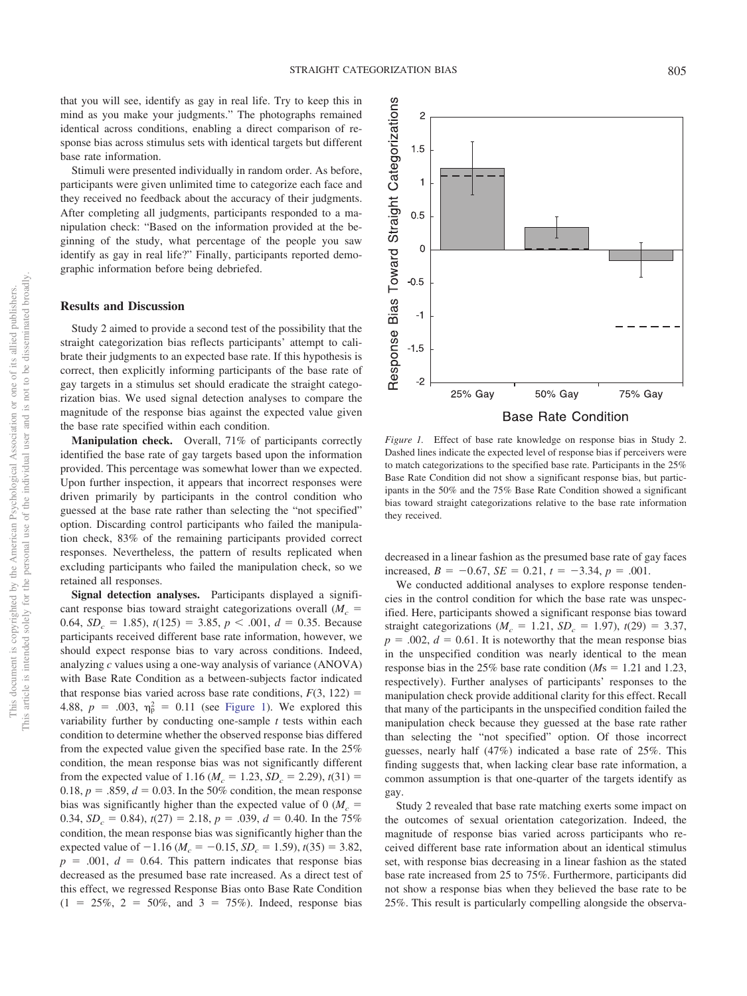that you will see, identify as gay in real life. Try to keep this in mind as you make your judgments." The photographs remained identical across conditions, enabling a direct comparison of response bias across stimulus sets with identical targets but different base rate information.

Stimuli were presented individually in random order. As before, participants were given unlimited time to categorize each face and they received no feedback about the accuracy of their judgments. After completing all judgments, participants responded to a manipulation check: "Based on the information provided at the beginning of the study, what percentage of the people you saw identify as gay in real life?" Finally, participants reported demographic information before being debriefed.

## **Results and Discussion**

Study 2 aimed to provide a second test of the possibility that the straight categorization bias reflects participants' attempt to calibrate their judgments to an expected base rate. If this hypothesis is correct, then explicitly informing participants of the base rate of gay targets in a stimulus set should eradicate the straight categorization bias. We used signal detection analyses to compare the magnitude of the response bias against the expected value given the base rate specified within each condition.

**Manipulation check.** Overall, 71% of participants correctly identified the base rate of gay targets based upon the information provided. This percentage was somewhat lower than we expected. Upon further inspection, it appears that incorrect responses were driven primarily by participants in the control condition who guessed at the base rate rather than selecting the "not specified" option. Discarding control participants who failed the manipulation check, 83% of the remaining participants provided correct responses. Nevertheless, the pattern of results replicated when excluding participants who failed the manipulation check, so we retained all responses.

**Signal detection analyses.** Participants displayed a significant response bias toward straight categorizations overall  $(M_c =$ 0.64,  $SD_c = 1.85$ ,  $t(125) = 3.85$ ,  $p < .001$ ,  $d = 0.35$ . Because participants received different base rate information, however, we should expect response bias to vary across conditions. Indeed, analyzing *c* values using a one-way analysis of variance (ANOVA) with Base Rate Condition as a between-subjects factor indicated that response bias varied across base rate conditions,  $F(3, 122) =$ 4.88,  $p = .003$ ,  $\eta_p^2 = 0.11$  (see [Figure 1\)](#page-4-0). We explored this variability further by conducting one-sample *t* tests within each condition to determine whether the observed response bias differed from the expected value given the specified base rate. In the 25% condition, the mean response bias was not significantly different from the expected value of 1.16 ( $M_c = 1.23$ ,  $SD_c = 2.29$ ),  $t(31) =$ 0.18,  $p = 0.859$ ,  $d = 0.03$ . In the 50% condition, the mean response bias was significantly higher than the expected value of  $0 \left( M_c \right)$ 0.34,  $SD_c = 0.84$ ,  $t(27) = 2.18$ ,  $p = .039$ ,  $d = 0.40$ . In the 75% condition, the mean response bias was significantly higher than the expected value of  $-1.16$  ( $M_c = -0.15$ ,  $SD_c = 1.59$ ),  $t(35) = 3.82$ ,  $p = .001, d = 0.64$ . This pattern indicates that response bias decreased as the presumed base rate increased. As a direct test of this effect, we regressed Response Bias onto Base Rate Condition  $(1 = 25\%, 2 = 50\%, \text{ and } 3 = 75\%).$  Indeed, response bias

<span id="page-4-0"></span>*Figure 1.* Effect of base rate knowledge on response bias in Study 2. Dashed lines indicate the expected level of response bias if perceivers were to match categorizations to the specified base rate. Participants in the 25% Base Rate Condition did not show a significant response bias, but participants in the 50% and the 75% Base Rate Condition showed a significant bias toward straight categorizations relative to the base rate information they received.

decreased in a linear fashion as the presumed base rate of gay faces increased,  $B = -0.67$ ,  $SE = 0.21$ ,  $t = -3.34$ ,  $p = .001$ .

We conducted additional analyses to explore response tendencies in the control condition for which the base rate was unspecified. Here, participants showed a significant response bias toward straight categorizations ( $M_c = 1.21$ ,  $SD_c = 1.97$ ),  $t(29) = 3.37$ ,  $p = 0.002$ ,  $d = 0.61$ . It is noteworthy that the mean response bias in the unspecified condition was nearly identical to the mean response bias in the  $25\%$  base rate condition ( $Ms = 1.21$  and 1.23, respectively). Further analyses of participants' responses to the manipulation check provide additional clarity for this effect. Recall that many of the participants in the unspecified condition failed the manipulation check because they guessed at the base rate rather than selecting the "not specified" option. Of those incorrect guesses, nearly half (47%) indicated a base rate of 25%. This finding suggests that, when lacking clear base rate information, a common assumption is that one-quarter of the targets identify as gay.

Study 2 revealed that base rate matching exerts some impact on the outcomes of sexual orientation categorization. Indeed, the magnitude of response bias varied across participants who received different base rate information about an identical stimulus set, with response bias decreasing in a linear fashion as the stated base rate increased from 25 to 75%. Furthermore, participants did not show a response bias when they believed the base rate to be 25%. This result is particularly compelling alongside the observa-

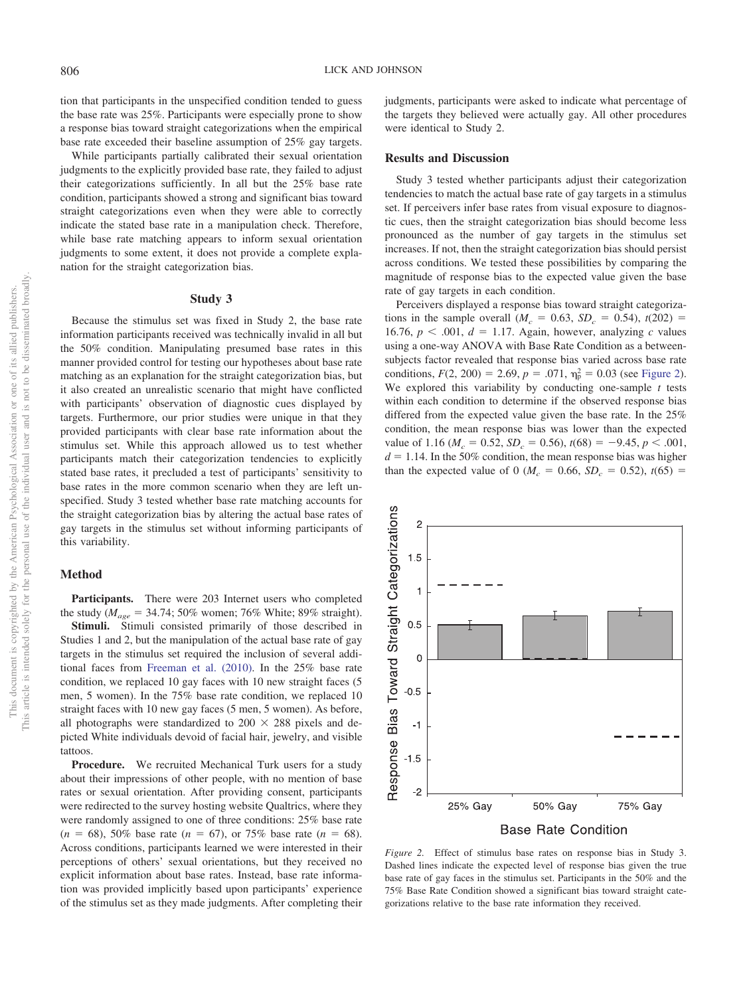tion that participants in the unspecified condition tended to guess the base rate was 25%. Participants were especially prone to show a response bias toward straight categorizations when the empirical base rate exceeded their baseline assumption of 25% gay targets.

While participants partially calibrated their sexual orientation judgments to the explicitly provided base rate, they failed to adjust their categorizations sufficiently. In all but the 25% base rate condition, participants showed a strong and significant bias toward straight categorizations even when they were able to correctly indicate the stated base rate in a manipulation check. Therefore, while base rate matching appears to inform sexual orientation judgments to some extent, it does not provide a complete explanation for the straight categorization bias.

#### **Study 3**

Because the stimulus set was fixed in Study 2, the base rate information participants received was technically invalid in all but the 50% condition. Manipulating presumed base rates in this manner provided control for testing our hypotheses about base rate matching as an explanation for the straight categorization bias, but it also created an unrealistic scenario that might have conflicted with participants' observation of diagnostic cues displayed by targets. Furthermore, our prior studies were unique in that they provided participants with clear base rate information about the stimulus set. While this approach allowed us to test whether participants match their categorization tendencies to explicitly stated base rates, it precluded a test of participants' sensitivity to base rates in the more common scenario when they are left unspecified. Study 3 tested whether base rate matching accounts for the straight categorization bias by altering the actual base rates of gay targets in the stimulus set without informing participants of this variability.

# **Method**

This document is copyrighted by the American Psychological Association or one of its allied publishers. This article is intended solely for the personal use of the individual user and is not to be disseminated broadly.

This document is copyrighted by the American Psychological Association

one of its allied publishers.

 $\rm \overline{o}$ 

This article is intended solely for the personal use of the individual user and is not to be disseminated broadly,

**Participants.** There were 203 Internet users who completed the study ( $M_{age} = 34.74$ ; 50% women; 76% White; 89% straight).

**Stimuli.** Stimuli consisted primarily of those described in Studies 1 and 2, but the manipulation of the actual base rate of gay targets in the stimulus set required the inclusion of several additional faces from [Freeman et al. \(2010\).](#page-15-3) In the 25% base rate condition, we replaced 10 gay faces with 10 new straight faces (5 men, 5 women). In the 75% base rate condition, we replaced 10 straight faces with 10 new gay faces (5 men, 5 women). As before, all photographs were standardized to  $200 \times 288$  pixels and depicted White individuals devoid of facial hair, jewelry, and visible tattoos.

**Procedure.** We recruited Mechanical Turk users for a study about their impressions of other people, with no mention of base rates or sexual orientation. After providing consent, participants were redirected to the survey hosting website Qualtrics, where they were randomly assigned to one of three conditions: 25% base rate  $(n = 68)$ , 50% base rate  $(n = 67)$ , or 75% base rate  $(n = 68)$ . Across conditions, participants learned we were interested in their perceptions of others' sexual orientations, but they received no explicit information about base rates. Instead, base rate information was provided implicitly based upon participants' experience of the stimulus set as they made judgments. After completing their

judgments, participants were asked to indicate what percentage of the targets they believed were actually gay. All other procedures were identical to Study 2.

#### **Results and Discussion**

Study 3 tested whether participants adjust their categorization tendencies to match the actual base rate of gay targets in a stimulus set. If perceivers infer base rates from visual exposure to diagnostic cues, then the straight categorization bias should become less pronounced as the number of gay targets in the stimulus set increases. If not, then the straight categorization bias should persist across conditions. We tested these possibilities by comparing the magnitude of response bias to the expected value given the base rate of gay targets in each condition.

Perceivers displayed a response bias toward straight categorizations in the sample overall  $(M_c = 0.63, SD_c = 0.54)$ ,  $t(202) =$ 16.76,  $p < .001$ ,  $d = 1.17$ . Again, however, analyzing *c* values using a one-way ANOVA with Base Rate Condition as a betweensubjects factor revealed that response bias varied across base rate conditions,  $F(2, 200) = 2.69$ ,  $p = .071$ ,  $\eta_p^2 = 0.03$  (see [Figure 2\)](#page-5-0). We explored this variability by conducting one-sample *t* tests within each condition to determine if the observed response bias differed from the expected value given the base rate. In the 25% condition, the mean response bias was lower than the expected value of 1.16 ( $M_c = 0.52$ ,  $SD_c = 0.56$ ),  $t(68) = -9.45$ ,  $p < .001$ ,  $d = 1.14$ . In the 50% condition, the mean response bias was higher than the expected value of 0 ( $M_c = 0.66$ ,  $SD_c = 0.52$ ),  $t(65) =$ 

Response Bias Toward Straight Categorizations  $\overline{c}$ 1.5  $\mathbf{1}$  $0.5$  $\mathbf 0$  $-0.5$  $-1$  $-1.5$  $-2$ 50% Gay 25% Gay 75% Gay **Base Rate Condition** 

<span id="page-5-0"></span>*Figure 2.* Effect of stimulus base rates on response bias in Study 3. Dashed lines indicate the expected level of response bias given the true base rate of gay faces in the stimulus set. Participants in the 50% and the 75% Base Rate Condition showed a significant bias toward straight categorizations relative to the base rate information they received.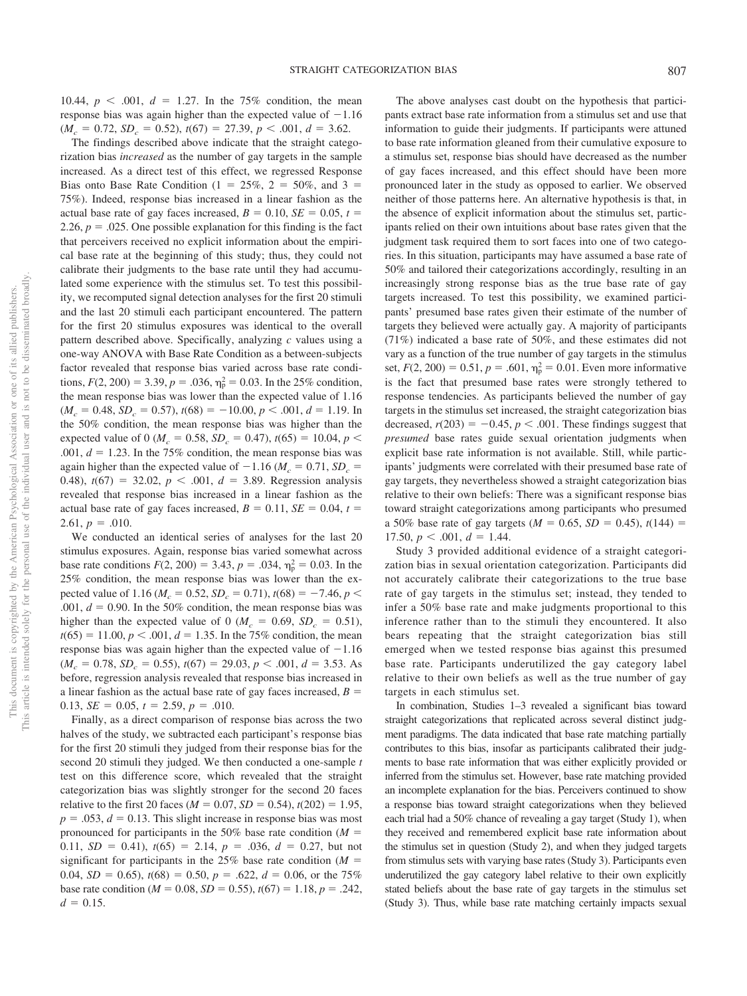10.44,  $p \le 0.001$ ,  $d = 1.27$ . In the 75% condition, the mean response bias was again higher than the expected value of  $-1.16$  $(M_c = 0.72, SD_c = 0.52), t(67) = 27.39, p < .001, d = 3.62.$ 

The findings described above indicate that the straight categorization bias *increased* as the number of gay targets in the sample increased. As a direct test of this effect, we regressed Response Bias onto Base Rate Condition (1 =  $25\%$ , 2 =  $50\%$ , and 3 = 75%). Indeed, response bias increased in a linear fashion as the actual base rate of gay faces increased,  $B = 0.10$ ,  $SE = 0.05$ ,  $t =$ 2.26,  $p = 0.025$ . One possible explanation for this finding is the fact that perceivers received no explicit information about the empirical base rate at the beginning of this study; thus, they could not calibrate their judgments to the base rate until they had accumulated some experience with the stimulus set. To test this possibility, we recomputed signal detection analyses for the first 20 stimuli and the last 20 stimuli each participant encountered. The pattern for the first 20 stimulus exposures was identical to the overall pattern described above. Specifically, analyzing *c* values using a one-way ANOVA with Base Rate Condition as a between-subjects factor revealed that response bias varied across base rate conditions,  $F(2, 200) = 3.39$ ,  $p = .036$ ,  $\eta_p^2 = 0.03$ . In the 25% condition, the mean response bias was lower than the expected value of 1.16  $(M_c = 0.48, SD_c = 0.57), t(68) = -10.00, p < .001, d = 1.19.$  In the 50% condition, the mean response bias was higher than the expected value of 0 ( $M_c = 0.58$ ,  $SD_c = 0.47$ ),  $t(65) = 10.04$ ,  $p <$  $.001, d = 1.23$ . In the 75% condition, the mean response bias was again higher than the expected value of  $-1.16$  ( $M_c = 0.71$ ,  $SD_c =$ 0.48),  $t(67) = 32.02$ ,  $p < .001$ ,  $d = 3.89$ . Regression analysis revealed that response bias increased in a linear fashion as the actual base rate of gay faces increased,  $B = 0.11$ ,  $SE = 0.04$ ,  $t =$  $2.61, p = .010.$ 

We conducted an identical series of analyses for the last 20 stimulus exposures. Again, response bias varied somewhat across base rate conditions  $F(2, 200) = 3.43$ ,  $p = .034$ ,  $\eta_p^2 = 0.03$ . In the 25% condition, the mean response bias was lower than the expected value of 1.16 ( $M_c = 0.52$ ,  $SD_c = 0.71$ ),  $t(68) = -7.46$ ,  $p <$  $.001, d = 0.90$ . In the 50% condition, the mean response bias was higher than the expected value of 0 ( $M_c = 0.69$ ,  $SD_c = 0.51$ ),  $t(65) = 11.00, p < .001, d = 1.35$ . In the 75% condition, the mean response bias was again higher than the expected value of  $-1.16$  $(M_c = 0.78, SD_c = 0.55), t(67) = 29.03, p < .001, d = 3.53$ . As before, regression analysis revealed that response bias increased in a linear fashion as the actual base rate of gay faces increased,  $B =$ 0.13,  $SE = 0.05$ ,  $t = 2.59$ ,  $p = .010$ .

Finally, as a direct comparison of response bias across the two halves of the study, we subtracted each participant's response bias for the first 20 stimuli they judged from their response bias for the second 20 stimuli they judged. We then conducted a one-sample *t* test on this difference score, which revealed that the straight categorization bias was slightly stronger for the second 20 faces relative to the first 20 faces ( $M = 0.07$ ,  $SD = 0.54$ ),  $t(202) = 1.95$ ,  $p = 0.053$ ,  $d = 0.13$ . This slight increase in response bias was most pronounced for participants in the 50% base rate condition  $(M =$ 0.11,  $SD = 0.41$ ,  $t(65) = 2.14$ ,  $p = .036$ ,  $d = 0.27$ , but not significant for participants in the  $25\%$  base rate condition ( $M =$ 0.04,  $SD = 0.65$ ,  $t(68) = 0.50$ ,  $p = .622$ ,  $d = 0.06$ , or the 75% base rate condition ( $M = 0.08$ ,  $SD = 0.55$ ),  $t(67) = 1.18$ ,  $p = .242$ ,  $d = 0.15$ .

The above analyses cast doubt on the hypothesis that participants extract base rate information from a stimulus set and use that information to guide their judgments. If participants were attuned to base rate information gleaned from their cumulative exposure to a stimulus set, response bias should have decreased as the number of gay faces increased, and this effect should have been more pronounced later in the study as opposed to earlier. We observed neither of those patterns here. An alternative hypothesis is that, in the absence of explicit information about the stimulus set, participants relied on their own intuitions about base rates given that the judgment task required them to sort faces into one of two categories. In this situation, participants may have assumed a base rate of 50% and tailored their categorizations accordingly, resulting in an increasingly strong response bias as the true base rate of gay targets increased. To test this possibility, we examined participants' presumed base rates given their estimate of the number of targets they believed were actually gay. A majority of participants (71%) indicated a base rate of 50%, and these estimates did not vary as a function of the true number of gay targets in the stimulus set,  $F(2, 200) = 0.51$ ,  $p = .601$ ,  $\eta_p^2 = 0.01$ . Even more informative is the fact that presumed base rates were strongly tethered to response tendencies. As participants believed the number of gay targets in the stimulus set increased, the straight categorization bias decreased,  $r(203) = -0.45$ ,  $p < .001$ . These findings suggest that *presumed* base rates guide sexual orientation judgments when explicit base rate information is not available. Still, while participants' judgments were correlated with their presumed base rate of gay targets, they nevertheless showed a straight categorization bias relative to their own beliefs: There was a significant response bias toward straight categorizations among participants who presumed a 50% base rate of gay targets  $(M = 0.65, SD = 0.45)$ ,  $t(144) =$  $17.50, p \leq .001, d = 1.44.$ 

Study 3 provided additional evidence of a straight categorization bias in sexual orientation categorization. Participants did not accurately calibrate their categorizations to the true base rate of gay targets in the stimulus set; instead, they tended to infer a 50% base rate and make judgments proportional to this inference rather than to the stimuli they encountered. It also bears repeating that the straight categorization bias still emerged when we tested response bias against this presumed base rate. Participants underutilized the gay category label relative to their own beliefs as well as the true number of gay targets in each stimulus set.

In combination, Studies 1–3 revealed a significant bias toward straight categorizations that replicated across several distinct judgment paradigms. The data indicated that base rate matching partially contributes to this bias, insofar as participants calibrated their judgments to base rate information that was either explicitly provided or inferred from the stimulus set. However, base rate matching provided an incomplete explanation for the bias. Perceivers continued to show a response bias toward straight categorizations when they believed each trial had a 50% chance of revealing a gay target (Study 1), when they received and remembered explicit base rate information about the stimulus set in question (Study 2), and when they judged targets from stimulus sets with varying base rates (Study 3). Participants even underutilized the gay category label relative to their own explicitly stated beliefs about the base rate of gay targets in the stimulus set (Study 3). Thus, while base rate matching certainly impacts sexual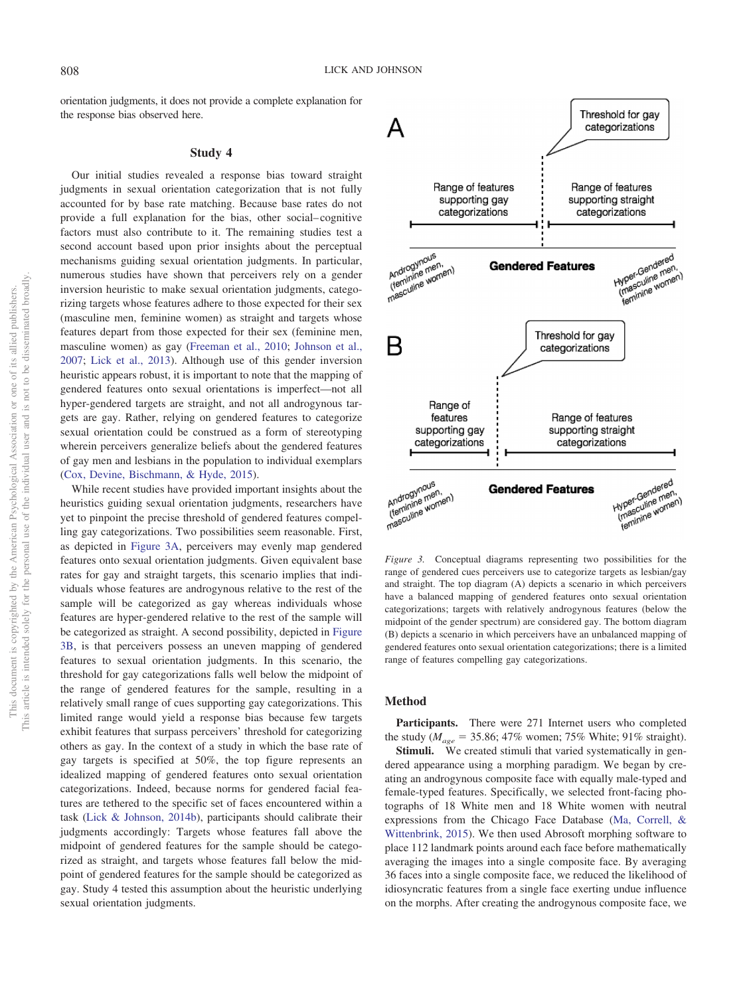orientation judgments, it does not provide a complete explanation for the response bias observed here.

#### **Study 4**

Our initial studies revealed a response bias toward straight judgments in sexual orientation categorization that is not fully accounted for by base rate matching. Because base rates do not provide a full explanation for the bias, other social– cognitive factors must also contribute to it. The remaining studies test a second account based upon prior insights about the perceptual mechanisms guiding sexual orientation judgments. In particular, numerous studies have shown that perceivers rely on a gender inversion heuristic to make sexual orientation judgments, categorizing targets whose features adhere to those expected for their sex (masculine men, feminine women) as straight and targets whose features depart from those expected for their sex (feminine men, masculine women) as gay [\(Freeman et al., 2010;](#page-15-3) [Johnson et al.,](#page-15-4) [2007;](#page-15-4) [Lick et al., 2013\)](#page-16-7). Although use of this gender inversion heuristic appears robust, it is important to note that the mapping of gendered features onto sexual orientations is imperfect—not all hyper-gendered targets are straight, and not all androgynous targets are gay. Rather, relying on gendered features to categorize sexual orientation could be construed as a form of stereotyping wherein perceivers generalize beliefs about the gendered features of gay men and lesbians in the population to individual exemplars [\(Cox, Devine, Bischmann, & Hyde, 2015\)](#page-15-19).

While recent studies have provided important insights about the heuristics guiding sexual orientation judgments, researchers have yet to pinpoint the precise threshold of gendered features compelling gay categorizations. Two possibilities seem reasonable. First, as depicted in [Figure 3A,](#page-7-0) perceivers may evenly map gendered features onto sexual orientation judgments. Given equivalent base rates for gay and straight targets, this scenario implies that individuals whose features are androgynous relative to the rest of the sample will be categorized as gay whereas individuals whose features are hyper-gendered relative to the rest of the sample will be categorized as straight. A second possibility, depicted in [Figure](#page-7-0) [3B,](#page-7-0) is that perceivers possess an uneven mapping of gendered features to sexual orientation judgments. In this scenario, the threshold for gay categorizations falls well below the midpoint of the range of gendered features for the sample, resulting in a relatively small range of cues supporting gay categorizations. This limited range would yield a response bias because few targets exhibit features that surpass perceivers' threshold for categorizing others as gay. In the context of a study in which the base rate of gay targets is specified at 50%, the top figure represents an idealized mapping of gendered features onto sexual orientation categorizations. Indeed, because norms for gendered facial features are tethered to the specific set of faces encountered within a task [\(Lick & Johnson, 2014b\)](#page-16-24), participants should calibrate their judgments accordingly: Targets whose features fall above the midpoint of gendered features for the sample should be categorized as straight, and targets whose features fall below the midpoint of gendered features for the sample should be categorized as gay. Study 4 tested this assumption about the heuristic underlying sexual orientation judgments.



<span id="page-7-0"></span>*Figure 3.* Conceptual diagrams representing two possibilities for the range of gendered cues perceivers use to categorize targets as lesbian/gay and straight. The top diagram (A) depicts a scenario in which perceivers have a balanced mapping of gendered features onto sexual orientation categorizations; targets with relatively androgynous features (below the midpoint of the gender spectrum) are considered gay. The bottom diagram (B) depicts a scenario in which perceivers have an unbalanced mapping of gendered features onto sexual orientation categorizations; there is a limited range of features compelling gay categorizations.

# **Method**

**Participants.** There were 271 Internet users who completed the study ( $M_{age} = 35.86$ ; 47% women; 75% White; 91% straight).

**Stimuli.** We created stimuli that varied systematically in gendered appearance using a morphing paradigm. We began by creating an androgynous composite face with equally male-typed and female-typed features. Specifically, we selected front-facing photographs of 18 White men and 18 White women with neutral expressions from the Chicago Face Database [\(Ma, Correll, &](#page-16-25) [Wittenbrink, 2015\)](#page-16-25). We then used Abrosoft morphing software to place 112 landmark points around each face before mathematically averaging the images into a single composite face. By averaging 36 faces into a single composite face, we reduced the likelihood of idiosyncratic features from a single face exerting undue influence on the morphs. After creating the androgynous composite face, we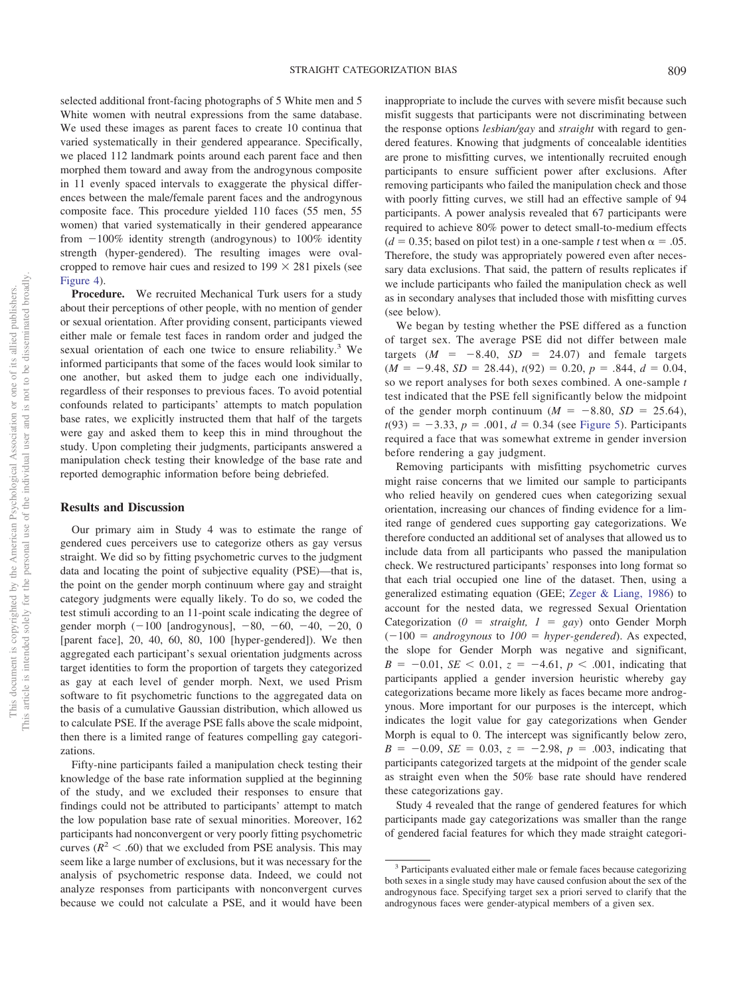selected additional front-facing photographs of 5 White men and 5 White women with neutral expressions from the same database. We used these images as parent faces to create 10 continua that varied systematically in their gendered appearance. Specifically, we placed 112 landmark points around each parent face and then morphed them toward and away from the androgynous composite in 11 evenly spaced intervals to exaggerate the physical differences between the male/female parent faces and the androgynous composite face. This procedure yielded 110 faces (55 men, 55 women) that varied systematically in their gendered appearance from  $-100\%$  identity strength (androgynous) to 100% identity strength (hyper-gendered). The resulting images were ovalcropped to remove hair cues and resized to  $199 \times 281$  pixels (see [Figure 4\)](#page-9-0).

**Procedure.** We recruited Mechanical Turk users for a study about their perceptions of other people, with no mention of gender or sexual orientation. After providing consent, participants viewed either male or female test faces in random order and judged the sexual orientation of each one twice to ensure reliability.<sup>3</sup> We informed participants that some of the faces would look similar to one another, but asked them to judge each one individually, regardless of their responses to previous faces. To avoid potential confounds related to participants' attempts to match population base rates, we explicitly instructed them that half of the targets were gay and asked them to keep this in mind throughout the study. Upon completing their judgments, participants answered a manipulation check testing their knowledge of the base rate and reported demographic information before being debriefed.

## **Results and Discussion**

Our primary aim in Study 4 was to estimate the range of gendered cues perceivers use to categorize others as gay versus straight. We did so by fitting psychometric curves to the judgment data and locating the point of subjective equality (PSE)—that is, the point on the gender morph continuum where gay and straight category judgments were equally likely. To do so, we coded the test stimuli according to an 11-point scale indicating the degree of gender morph  $(-100 \text{ [androgynous]}, -80, -60, -40, -20, 0)$ [parent face], 20, 40, 60, 80, 100 [hyper-gendered]). We then aggregated each participant's sexual orientation judgments across target identities to form the proportion of targets they categorized as gay at each level of gender morph. Next, we used Prism software to fit psychometric functions to the aggregated data on the basis of a cumulative Gaussian distribution, which allowed us to calculate PSE. If the average PSE falls above the scale midpoint, then there is a limited range of features compelling gay categorizations.

Fifty-nine participants failed a manipulation check testing their knowledge of the base rate information supplied at the beginning of the study, and we excluded their responses to ensure that findings could not be attributed to participants' attempt to match the low population base rate of sexual minorities. Moreover, 162 participants had nonconvergent or very poorly fitting psychometric curves  $(R^2 < .60)$  that we excluded from PSE analysis. This may seem like a large number of exclusions, but it was necessary for the analysis of psychometric response data. Indeed, we could not analyze responses from participants with nonconvergent curves because we could not calculate a PSE, and it would have been inappropriate to include the curves with severe misfit because such misfit suggests that participants were not discriminating between the response options *lesbian/gay* and *straight* with regard to gendered features. Knowing that judgments of concealable identities are prone to misfitting curves, we intentionally recruited enough participants to ensure sufficient power after exclusions. After removing participants who failed the manipulation check and those with poorly fitting curves, we still had an effective sample of 94 participants. A power analysis revealed that 67 participants were required to achieve 80% power to detect small-to-medium effects  $(d = 0.35$ ; based on pilot test) in a one-sample *t* test when  $\alpha = .05$ . Therefore, the study was appropriately powered even after necessary data exclusions. That said, the pattern of results replicates if we include participants who failed the manipulation check as well as in secondary analyses that included those with misfitting curves (see below).

We began by testing whether the PSE differed as a function of target sex. The average PSE did not differ between male targets  $(M = -8.40, SD = 24.07)$  and female targets  $(M = -9.48, SD = 28.44), t(92) = 0.20, p = .844, d = 0.04,$ so we report analyses for both sexes combined. A one-sample *t* test indicated that the PSE fell significantly below the midpoint of the gender morph continuum  $(M = -8.80, SD = 25.64)$ ,  $t(93) = -3.33, p = .001, d = 0.34$  (see [Figure 5\)](#page-10-0). Participants required a face that was somewhat extreme in gender inversion before rendering a gay judgment.

Removing participants with misfitting psychometric curves might raise concerns that we limited our sample to participants who relied heavily on gendered cues when categorizing sexual orientation, increasing our chances of finding evidence for a limited range of gendered cues supporting gay categorizations. We therefore conducted an additional set of analyses that allowed us to include data from all participants who passed the manipulation check. We restructured participants' responses into long format so that each trial occupied one line of the dataset. Then, using a generalized estimating equation (GEE; [Zeger & Liang, 1986\)](#page-16-26) to account for the nested data, we regressed Sexual Orientation Categorization  $(0 = straight, 1 = gay)$  onto Gender Morph  $(-100 = androgynous to 100 = hyper-generated)$ . As expected, the slope for Gender Morph was negative and significant,  $B = -0.01$ ,  $SE \le 0.01$ ,  $z = -4.61$ ,  $p \le .001$ , indicating that participants applied a gender inversion heuristic whereby gay categorizations became more likely as faces became more androgynous. More important for our purposes is the intercept, which indicates the logit value for gay categorizations when Gender Morph is equal to 0. The intercept was significantly below zero,  $B = -0.09$ ,  $SE = 0.03$ ,  $z = -2.98$ ,  $p = .003$ , indicating that participants categorized targets at the midpoint of the gender scale as straight even when the 50% base rate should have rendered these categorizations gay.

Study 4 revealed that the range of gendered features for which participants made gay categorizations was smaller than the range of gendered facial features for which they made straight categori-

<sup>&</sup>lt;sup>3</sup> Participants evaluated either male or female faces because categorizing both sexes in a single study may have caused confusion about the sex of the androgynous face. Specifying target sex a priori served to clarify that the androgynous faces were gender-atypical members of a given sex.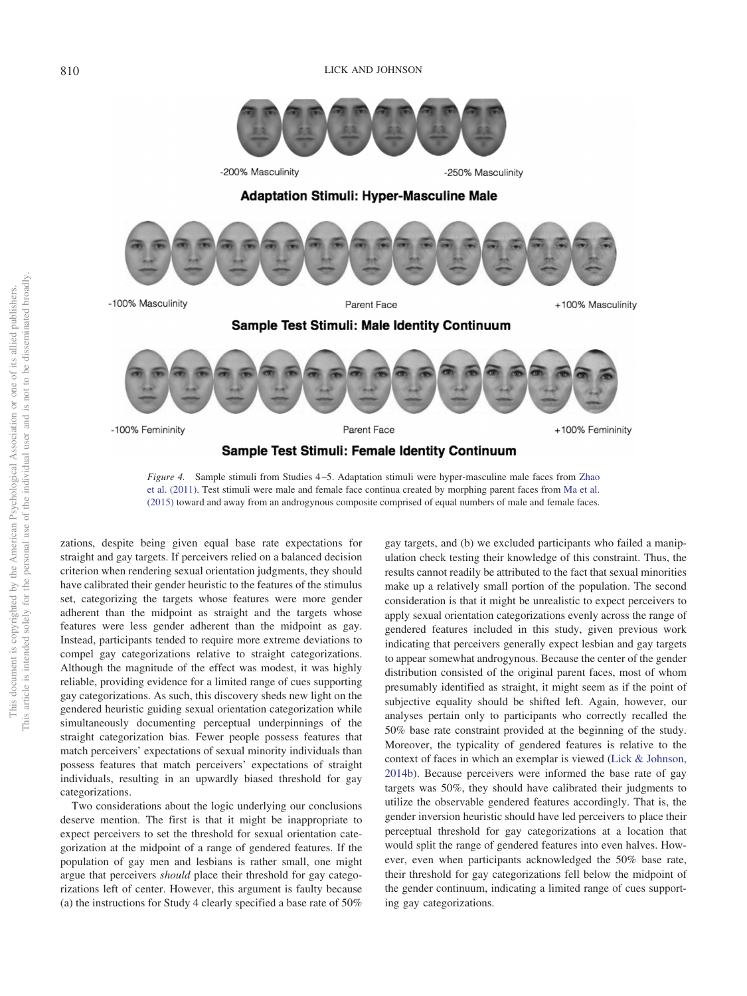

-200% Masculinity

-250% Masculinity

# **Adaptation Stimuli: Hyper-Masculine Male**



-100% Femininity

Parent Face Sample Test Stimuli: Female Identity Continuum +100% Femininity

<span id="page-9-0"></span>*Figure 4.* Sample stimuli from Studies 4 –5. Adaptation stimuli were hyper-masculine male faces from [Zhao](#page-16-27) [et al. \(2011\).](#page-16-27) Test stimuli were male and female face continua created by morphing parent faces from [Ma et al.](#page-16-25) [\(2015\)](#page-16-25) toward and away from an androgynous composite comprised of equal numbers of male and female faces.

zations, despite being given equal base rate expectations for straight and gay targets. If perceivers relied on a balanced decision criterion when rendering sexual orientation judgments, they should have calibrated their gender heuristic to the features of the stimulus set, categorizing the targets whose features were more gender adherent than the midpoint as straight and the targets whose features were less gender adherent than the midpoint as gay. Instead, participants tended to require more extreme deviations to compel gay categorizations relative to straight categorizations. Although the magnitude of the effect was modest, it was highly reliable, providing evidence for a limited range of cues supporting gay categorizations. As such, this discovery sheds new light on the gendered heuristic guiding sexual orientation categorization while simultaneously documenting perceptual underpinnings of the straight categorization bias. Fewer people possess features that match perceivers' expectations of sexual minority individuals than possess features that match perceivers' expectations of straight individuals, resulting in an upwardly biased threshold for gay categorizations.

Two considerations about the logic underlying our conclusions deserve mention. The first is that it might be inappropriate to expect perceivers to set the threshold for sexual orientation categorization at the midpoint of a range of gendered features. If the population of gay men and lesbians is rather small, one might argue that perceivers *should* place their threshold for gay categorizations left of center. However, this argument is faulty because (a) the instructions for Study 4 clearly specified a base rate of 50%

gay targets, and (b) we excluded participants who failed a manipulation check testing their knowledge of this constraint. Thus, the results cannot readily be attributed to the fact that sexual minorities make up a relatively small portion of the population. The second consideration is that it might be unrealistic to expect perceivers to apply sexual orientation categorizations evenly across the range of gendered features included in this study, given previous work indicating that perceivers generally expect lesbian and gay targets to appear somewhat androgynous. Because the center of the gender distribution consisted of the original parent faces, most of whom presumably identified as straight, it might seem as if the point of subjective equality should be shifted left. Again, however, our analyses pertain only to participants who correctly recalled the 50% base rate constraint provided at the beginning of the study. Moreover, the typicality of gendered features is relative to the context of faces in which an exemplar is viewed [\(Lick & Johnson,](#page-16-24) [2014b\)](#page-16-24). Because perceivers were informed the base rate of gay targets was 50%, they should have calibrated their judgments to utilize the observable gendered features accordingly. That is, the gender inversion heuristic should have led perceivers to place their perceptual threshold for gay categorizations at a location that would split the range of gendered features into even halves. However, even when participants acknowledged the 50% base rate, their threshold for gay categorizations fell below the midpoint of the gender continuum, indicating a limited range of cues supporting gay categorizations.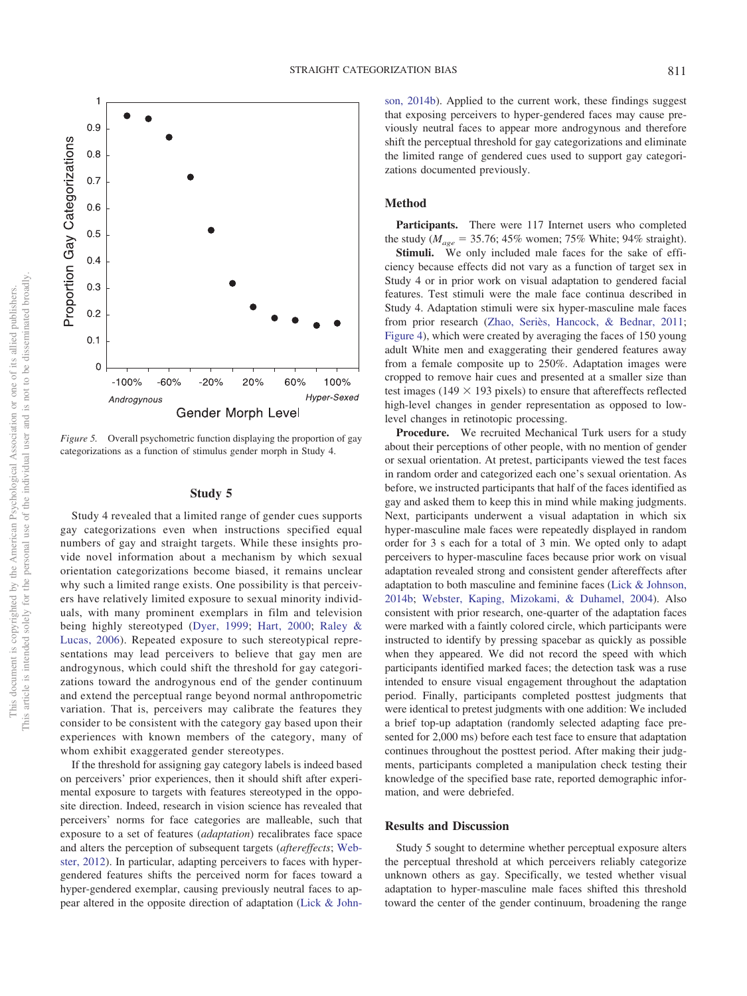

<span id="page-10-0"></span>*Figure 5.* Overall psychometric function displaying the proportion of gay categorizations as a function of stimulus gender morph in Study 4.

#### **Study 5**

Study 4 revealed that a limited range of gender cues supports gay categorizations even when instructions specified equal numbers of gay and straight targets. While these insights provide novel information about a mechanism by which sexual orientation categorizations become biased, it remains unclear why such a limited range exists. One possibility is that perceivers have relatively limited exposure to sexual minority individuals, with many prominent exemplars in film and television being highly stereotyped [\(Dyer, 1999;](#page-15-20) [Hart, 2000;](#page-15-21) [Raley &](#page-16-28) [Lucas, 2006\)](#page-16-28). Repeated exposure to such stereotypical representations may lead perceivers to believe that gay men are androgynous, which could shift the threshold for gay categorizations toward the androgynous end of the gender continuum and extend the perceptual range beyond normal anthropometric variation. That is, perceivers may calibrate the features they consider to be consistent with the category gay based upon their experiences with known members of the category, many of whom exhibit exaggerated gender stereotypes.

If the threshold for assigning gay category labels is indeed based on perceivers' prior experiences, then it should shift after experimental exposure to targets with features stereotyped in the opposite direction. Indeed, research in vision science has revealed that perceivers' norms for face categories are malleable, such that exposure to a set of features (*adaptation*) recalibrates face space and alters the perception of subsequent targets (*aftereffects*; [Web](#page-16-29)[ster, 2012\)](#page-16-29). In particular, adapting perceivers to faces with hypergendered features shifts the perceived norm for faces toward a hyper-gendered exemplar, causing previously neutral faces to appear altered in the opposite direction of adaptation [\(Lick & John-](#page-16-24) [son, 2014b\)](#page-16-24). Applied to the current work, these findings suggest that exposing perceivers to hyper-gendered faces may cause previously neutral faces to appear more androgynous and therefore shift the perceptual threshold for gay categorizations and eliminate the limited range of gendered cues used to support gay categorizations documented previously.

# **Method**

**Participants.** There were 117 Internet users who completed the study ( $M_{age} = 35.76$ ; 45% women; 75% White; 94% straight).

**Stimuli.** We only included male faces for the sake of efficiency because effects did not vary as a function of target sex in Study 4 or in prior work on visual adaptation to gendered facial features. Test stimuli were the male face continua described in Study 4. Adaptation stimuli were six hyper-masculine male faces from prior research [\(Zhao, Seriès, Hancock, & Bednar, 2011;](#page-16-27) [Figure 4\)](#page-9-0), which were created by averaging the faces of 150 young adult White men and exaggerating their gendered features away from a female composite up to 250%. Adaptation images were cropped to remove hair cues and presented at a smaller size than test images (149  $\times$  193 pixels) to ensure that aftereffects reflected high-level changes in gender representation as opposed to lowlevel changes in retinotopic processing.

**Procedure.** We recruited Mechanical Turk users for a study about their perceptions of other people, with no mention of gender or sexual orientation. At pretest, participants viewed the test faces in random order and categorized each one's sexual orientation. As before, we instructed participants that half of the faces identified as gay and asked them to keep this in mind while making judgments. Next, participants underwent a visual adaptation in which six hyper-masculine male faces were repeatedly displayed in random order for 3 s each for a total of 3 min. We opted only to adapt perceivers to hyper-masculine faces because prior work on visual adaptation revealed strong and consistent gender aftereffects after adaptation to both masculine and feminine faces [\(Lick & Johnson,](#page-16-24) [2014b;](#page-16-24) [Webster, Kaping, Mizokami, & Duhamel, 2004\)](#page-16-30). Also consistent with prior research, one-quarter of the adaptation faces were marked with a faintly colored circle, which participants were instructed to identify by pressing spacebar as quickly as possible when they appeared. We did not record the speed with which participants identified marked faces; the detection task was a ruse intended to ensure visual engagement throughout the adaptation period. Finally, participants completed posttest judgments that were identical to pretest judgments with one addition: We included a brief top-up adaptation (randomly selected adapting face presented for 2,000 ms) before each test face to ensure that adaptation continues throughout the posttest period. After making their judgments, participants completed a manipulation check testing their knowledge of the specified base rate, reported demographic information, and were debriefed.

#### **Results and Discussion**

Study 5 sought to determine whether perceptual exposure alters the perceptual threshold at which perceivers reliably categorize unknown others as gay. Specifically, we tested whether visual adaptation to hyper-masculine male faces shifted this threshold toward the center of the gender continuum, broadening the range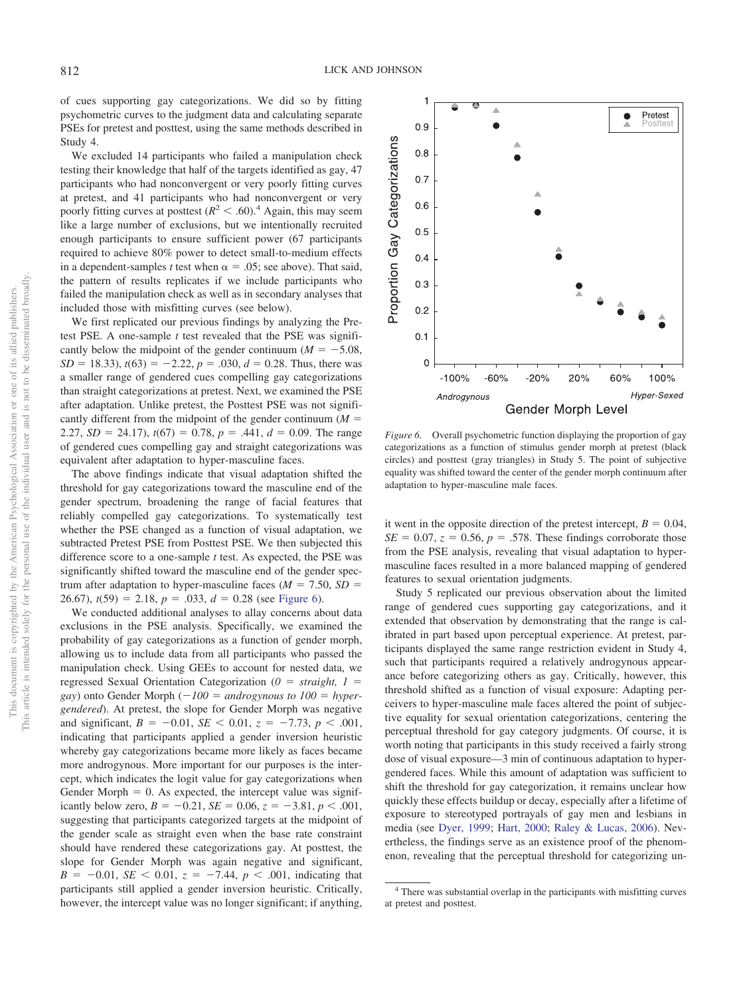of cues supporting gay categorizations. We did so by fitting psychometric curves to the judgment data and calculating separate PSEs for pretest and posttest, using the same methods described in Study 4.

We excluded 14 participants who failed a manipulation check testing their knowledge that half of the targets identified as gay, 47 participants who had nonconvergent or very poorly fitting curves at pretest, and 41 participants who had nonconvergent or very poorly fitting curves at posttest  $(R^2 < .60)^4$ . Again, this may seem like a large number of exclusions, but we intentionally recruited enough participants to ensure sufficient power (67 participants required to achieve 80% power to detect small-to-medium effects in a dependent-samples *t* test when  $\alpha = .05$ ; see above). That said, the pattern of results replicates if we include participants who failed the manipulation check as well as in secondary analyses that included those with misfitting curves (see below).

We first replicated our previous findings by analyzing the Pretest PSE. A one-sample *t* test revealed that the PSE was significantly below the midpoint of the gender continuum  $(M = -5.08,$  $SD = 18.33$ ,  $t(63) = -2.22$ ,  $p = .030$ ,  $d = 0.28$ . Thus, there was a smaller range of gendered cues compelling gay categorizations than straight categorizations at pretest. Next, we examined the PSE after adaptation. Unlike pretest, the Posttest PSE was not significantly different from the midpoint of the gender continuum  $(M =$ 2.27,  $SD = 24.17$ ,  $t(67) = 0.78$ ,  $p = .441$ ,  $d = 0.09$ . The range of gendered cues compelling gay and straight categorizations was equivalent after adaptation to hyper-masculine faces.

The above findings indicate that visual adaptation shifted the threshold for gay categorizations toward the masculine end of the gender spectrum, broadening the range of facial features that reliably compelled gay categorizations. To systematically test whether the PSE changed as a function of visual adaptation, we subtracted Pretest PSE from Posttest PSE. We then subjected this difference score to a one-sample *t* test. As expected, the PSE was significantly shifted toward the masculine end of the gender spectrum after adaptation to hyper-masculine faces  $(M = 7.50, SD =$  $26.67$ ,  $t(59) = 2.18$ ,  $p = .033$ ,  $d = 0.28$  (see [Figure 6\)](#page-11-0).

We conducted additional analyses to allay concerns about data exclusions in the PSE analysis. Specifically, we examined the probability of gay categorizations as a function of gender morph, allowing us to include data from all participants who passed the manipulation check. Using GEEs to account for nested data, we regressed Sexual Orientation Categorization  $(0 = straight, 1)$  $gay$ ) onto Gender Morph  $(-100 = androgynous to 100 = hyper$ *gendered*). At pretest, the slope for Gender Morph was negative and significant,  $B = -0.01$ ,  $SE < 0.01$ ,  $z = -7.73$ ,  $p < .001$ , indicating that participants applied a gender inversion heuristic whereby gay categorizations became more likely as faces became more androgynous. More important for our purposes is the intercept, which indicates the logit value for gay categorizations when Gender Morph  $= 0$ . As expected, the intercept value was significantly below zero,  $B = -0.21$ ,  $SE = 0.06$ ,  $z = -3.81$ ,  $p < .001$ , suggesting that participants categorized targets at the midpoint of the gender scale as straight even when the base rate constraint should have rendered these categorizations gay. At posttest, the slope for Gender Morph was again negative and significant,  $B = -0.01$ ,  $SE \le 0.01$ ,  $z = -7.44$ ,  $p \le .001$ , indicating that participants still applied a gender inversion heuristic. Critically, however, the intercept value was no longer significant; if anything,



<span id="page-11-0"></span>*Figure 6.* Overall psychometric function displaying the proportion of gay categorizations as a function of stimulus gender morph at pretest (black circles) and posttest (gray triangles) in Study 5. The point of subjective equality was shifted toward the center of the gender morph continuum after adaptation to hyper-masculine male faces.

it went in the opposite direction of the pretest intercept,  $B = 0.04$ ,  $SE = 0.07$ ,  $z = 0.56$ ,  $p = .578$ . These findings corroborate those from the PSE analysis, revealing that visual adaptation to hypermasculine faces resulted in a more balanced mapping of gendered features to sexual orientation judgments.

Study 5 replicated our previous observation about the limited range of gendered cues supporting gay categorizations, and it extended that observation by demonstrating that the range is calibrated in part based upon perceptual experience. At pretest, participants displayed the same range restriction evident in Study 4, such that participants required a relatively androgynous appearance before categorizing others as gay. Critically, however, this threshold shifted as a function of visual exposure: Adapting perceivers to hyper-masculine male faces altered the point of subjective equality for sexual orientation categorizations, centering the perceptual threshold for gay category judgments. Of course, it is worth noting that participants in this study received a fairly strong dose of visual exposure—3 min of continuous adaptation to hypergendered faces. While this amount of adaptation was sufficient to shift the threshold for gay categorization, it remains unclear how quickly these effects buildup or decay, especially after a lifetime of exposure to stereotyped portrayals of gay men and lesbians in media (see [Dyer, 1999;](#page-15-20) [Hart, 2000;](#page-15-21) [Raley & Lucas, 2006\)](#page-16-28). Nevertheless, the findings serve as an existence proof of the phenomenon, revealing that the perceptual threshold for categorizing un-

<sup>4</sup> There was substantial overlap in the participants with misfitting curves at pretest and posttest.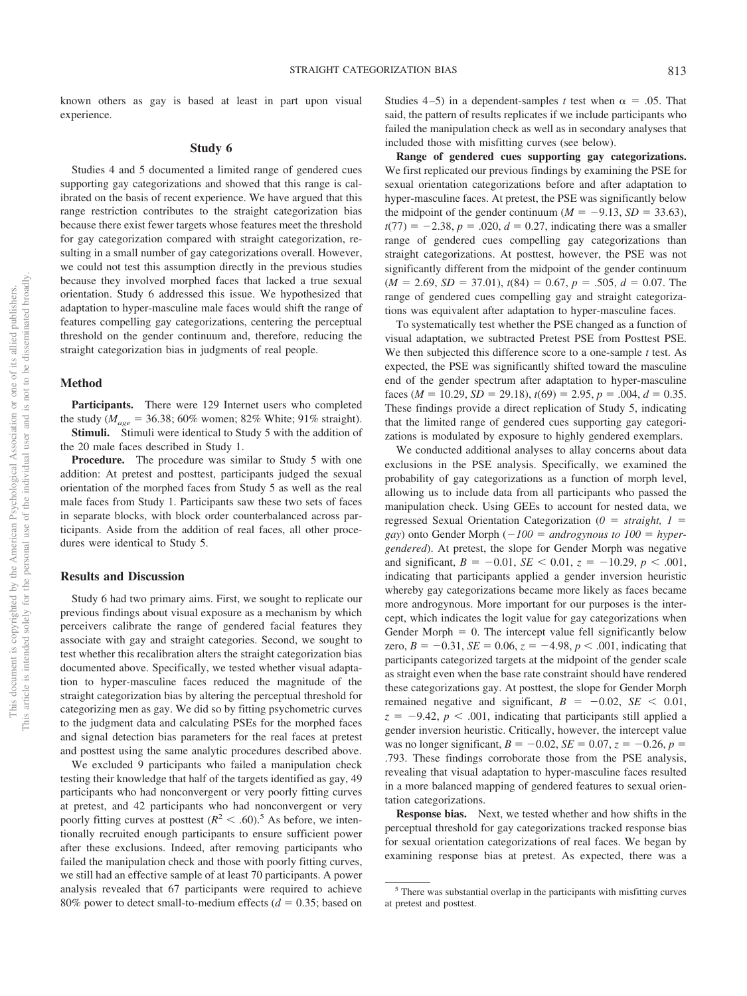known others as gay is based at least in part upon visual experience.

#### **Study 6**

Studies 4 and 5 documented a limited range of gendered cues supporting gay categorizations and showed that this range is calibrated on the basis of recent experience. We have argued that this range restriction contributes to the straight categorization bias because there exist fewer targets whose features meet the threshold for gay categorization compared with straight categorization, resulting in a small number of gay categorizations overall. However, we could not test this assumption directly in the previous studies because they involved morphed faces that lacked a true sexual orientation. Study 6 addressed this issue. We hypothesized that adaptation to hyper-masculine male faces would shift the range of features compelling gay categorizations, centering the perceptual threshold on the gender continuum and, therefore, reducing the straight categorization bias in judgments of real people.

### **Method**

**Participants.** There were 129 Internet users who completed the study ( $M_{age} = 36.38$ ; 60% women; 82% White; 91% straight). **Stimuli.** Stimuli were identical to Study 5 with the addition of the 20 male faces described in Study 1.

**Procedure.** The procedure was similar to Study 5 with one addition: At pretest and posttest, participants judged the sexual orientation of the morphed faces from Study 5 as well as the real male faces from Study 1. Participants saw these two sets of faces in separate blocks, with block order counterbalanced across participants. Aside from the addition of real faces, all other procedures were identical to Study 5.

#### **Results and Discussion**

Study 6 had two primary aims. First, we sought to replicate our previous findings about visual exposure as a mechanism by which perceivers calibrate the range of gendered facial features they associate with gay and straight categories. Second, we sought to test whether this recalibration alters the straight categorization bias documented above. Specifically, we tested whether visual adaptation to hyper-masculine faces reduced the magnitude of the straight categorization bias by altering the perceptual threshold for categorizing men as gay. We did so by fitting psychometric curves to the judgment data and calculating PSEs for the morphed faces and signal detection bias parameters for the real faces at pretest and posttest using the same analytic procedures described above.

We excluded 9 participants who failed a manipulation check testing their knowledge that half of the targets identified as gay, 49 participants who had nonconvergent or very poorly fitting curves at pretest, and 42 participants who had nonconvergent or very poorly fitting curves at posttest  $(R^2 < .60)^5$ .<sup>5</sup> As before, we intentionally recruited enough participants to ensure sufficient power after these exclusions. Indeed, after removing participants who failed the manipulation check and those with poorly fitting curves, we still had an effective sample of at least 70 participants. A power analysis revealed that 67 participants were required to achieve 80% power to detect small-to-medium effects  $(d = 0.35)$ ; based on

Studies 4–5) in a dependent-samples *t* test when  $\alpha = .05$ . That said, the pattern of results replicates if we include participants who failed the manipulation check as well as in secondary analyses that included those with misfitting curves (see below).

**Range of gendered cues supporting gay categorizations.** We first replicated our previous findings by examining the PSE for sexual orientation categorizations before and after adaptation to hyper-masculine faces. At pretest, the PSE was significantly below the midpoint of the gender continuum ( $M = -9.13$ ,  $SD = 33.63$ ),  $t(77) = -2.38, p = .020, d = 0.27$ , indicating there was a smaller range of gendered cues compelling gay categorizations than straight categorizations. At posttest, however, the PSE was not significantly different from the midpoint of the gender continuum  $(M = 2.69, SD = 37.01), t(84) = 0.67, p = .505, d = 0.07$ . The range of gendered cues compelling gay and straight categorizations was equivalent after adaptation to hyper-masculine faces.

To systematically test whether the PSE changed as a function of visual adaptation, we subtracted Pretest PSE from Posttest PSE. We then subjected this difference score to a one-sample *t* test. As expected, the PSE was significantly shifted toward the masculine end of the gender spectrum after adaptation to hyper-masculine faces ( $M = 10.29$ ,  $SD = 29.18$ ),  $t(69) = 2.95$ ,  $p = .004$ ,  $d = 0.35$ . These findings provide a direct replication of Study 5, indicating that the limited range of gendered cues supporting gay categorizations is modulated by exposure to highly gendered exemplars.

We conducted additional analyses to allay concerns about data exclusions in the PSE analysis. Specifically, we examined the probability of gay categorizations as a function of morph level, allowing us to include data from all participants who passed the manipulation check. Using GEEs to account for nested data, we regressed Sexual Orientation Categorization  $(0 = straight, 1)$  $gay$ ) onto Gender Morph  $(-100 = androgynous to 100 = hyper$ *gendered*). At pretest, the slope for Gender Morph was negative and significant,  $B = -0.01$ ,  $SE < 0.01$ ,  $z = -10.29$ ,  $p < .001$ , indicating that participants applied a gender inversion heuristic whereby gay categorizations became more likely as faces became more androgynous. More important for our purposes is the intercept, which indicates the logit value for gay categorizations when Gender Morph  $= 0$ . The intercept value fell significantly below zero,  $B = -0.31$ ,  $SE = 0.06$ ,  $z = -4.98$ ,  $p < .001$ , indicating that participants categorized targets at the midpoint of the gender scale as straight even when the base rate constraint should have rendered these categorizations gay. At posttest, the slope for Gender Morph remained negative and significant,  $B = -0.02$ ,  $SE < 0.01$ ,  $z = -9.42$ ,  $p < .001$ , indicating that participants still applied a gender inversion heuristic. Critically, however, the intercept value was no longer significant,  $B = -0.02$ ,  $SE = 0.07$ ,  $z = -0.26$ ,  $p =$ .793. These findings corroborate those from the PSE analysis, revealing that visual adaptation to hyper-masculine faces resulted in a more balanced mapping of gendered features to sexual orientation categorizations.

**Response bias.** Next, we tested whether and how shifts in the perceptual threshold for gay categorizations tracked response bias for sexual orientation categorizations of real faces. We began by examining response bias at pretest. As expected, there was a

<sup>5</sup> There was substantial overlap in the participants with misfitting curves at pretest and posttest.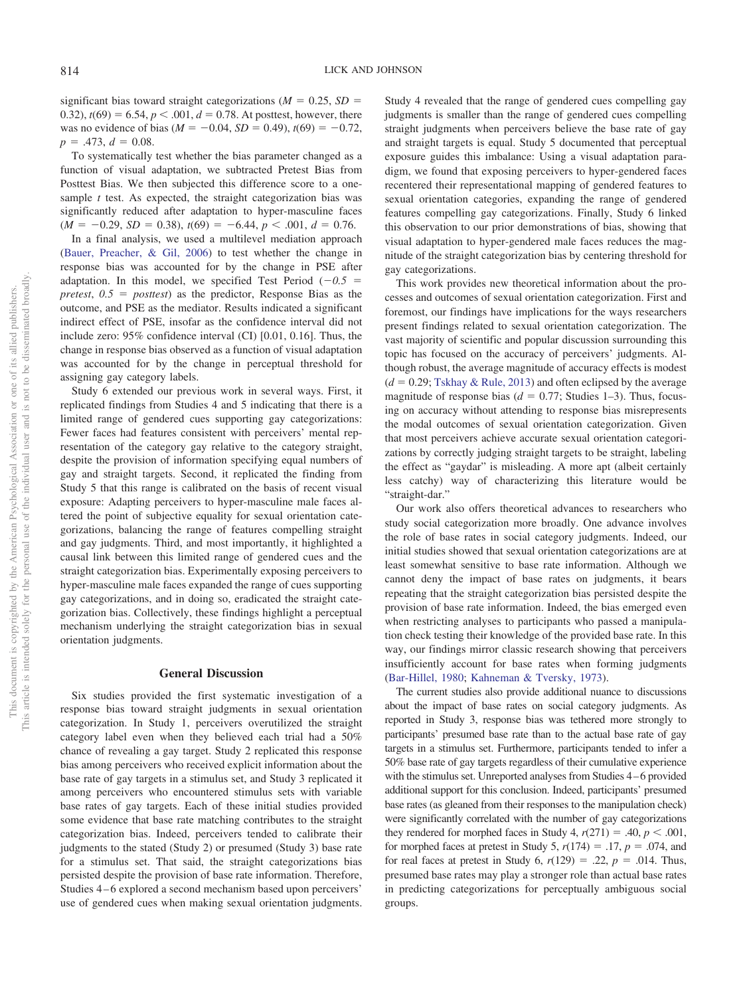significant bias toward straight categorizations  $(M = 0.25, SD =$ 0.32),  $t(69) = 6.54, p < .001, d = 0.78$ . At posttest, however, there was no evidence of bias ( $M = -0.04$ ,  $SD = 0.49$ ),  $t(69) = -0.72$ ,  $p = .473, d = 0.08.$ 

To systematically test whether the bias parameter changed as a function of visual adaptation, we subtracted Pretest Bias from Posttest Bias. We then subjected this difference score to a onesample *t* test. As expected, the straight categorization bias was significantly reduced after adaptation to hyper-masculine faces  $(M = -0.29, SD = 0.38), t(69) = -6.44, p < .001, d = 0.76.$ 

In a final analysis, we used a multilevel mediation approach [\(Bauer, Preacher, & Gil, 2006\)](#page-15-22) to test whether the change in response bias was accounted for by the change in PSE after adaptation. In this model, we specified Test Period  $(-0.5 =$  $pretest, 0.5 = posttest)$  as the predictor, Response Bias as the outcome, and PSE as the mediator. Results indicated a significant indirect effect of PSE, insofar as the confidence interval did not include zero: 95% confidence interval (CI) [0.01, 0.16]. Thus, the change in response bias observed as a function of visual adaptation was accounted for by the change in perceptual threshold for assigning gay category labels.

Study 6 extended our previous work in several ways. First, it replicated findings from Studies 4 and 5 indicating that there is a limited range of gendered cues supporting gay categorizations: Fewer faces had features consistent with perceivers' mental representation of the category gay relative to the category straight, despite the provision of information specifying equal numbers of gay and straight targets. Second, it replicated the finding from Study 5 that this range is calibrated on the basis of recent visual exposure: Adapting perceivers to hyper-masculine male faces altered the point of subjective equality for sexual orientation categorizations, balancing the range of features compelling straight and gay judgments. Third, and most importantly, it highlighted a causal link between this limited range of gendered cues and the straight categorization bias. Experimentally exposing perceivers to hyper-masculine male faces expanded the range of cues supporting gay categorizations, and in doing so, eradicated the straight categorization bias. Collectively, these findings highlight a perceptual mechanism underlying the straight categorization bias in sexual orientation judgments.

#### **General Discussion**

Six studies provided the first systematic investigation of a response bias toward straight judgments in sexual orientation categorization. In Study 1, perceivers overutilized the straight category label even when they believed each trial had a 50% chance of revealing a gay target. Study 2 replicated this response bias among perceivers who received explicit information about the base rate of gay targets in a stimulus set, and Study 3 replicated it among perceivers who encountered stimulus sets with variable base rates of gay targets. Each of these initial studies provided some evidence that base rate matching contributes to the straight categorization bias. Indeed, perceivers tended to calibrate their judgments to the stated (Study 2) or presumed (Study 3) base rate for a stimulus set. That said, the straight categorizations bias persisted despite the provision of base rate information. Therefore, Studies 4 – 6 explored a second mechanism based upon perceivers' use of gendered cues when making sexual orientation judgments.

Study 4 revealed that the range of gendered cues compelling gay judgments is smaller than the range of gendered cues compelling straight judgments when perceivers believe the base rate of gay and straight targets is equal. Study 5 documented that perceptual exposure guides this imbalance: Using a visual adaptation paradigm, we found that exposing perceivers to hyper-gendered faces recentered their representational mapping of gendered features to sexual orientation categories, expanding the range of gendered features compelling gay categorizations. Finally, Study 6 linked this observation to our prior demonstrations of bias, showing that visual adaptation to hyper-gendered male faces reduces the magnitude of the straight categorization bias by centering threshold for gay categorizations.

This work provides new theoretical information about the processes and outcomes of sexual orientation categorization. First and foremost, our findings have implications for the ways researchers present findings related to sexual orientation categorization. The vast majority of scientific and popular discussion surrounding this topic has focused on the accuracy of perceivers' judgments. Although robust, the average magnitude of accuracy effects is modest  $(d = 0.29;$  [Tskhay & Rule, 2013\)](#page-16-2) and often eclipsed by the average magnitude of response bias  $(d = 0.77;$  Studies 1–3). Thus, focusing on accuracy without attending to response bias misrepresents the modal outcomes of sexual orientation categorization. Given that most perceivers achieve accurate sexual orientation categorizations by correctly judging straight targets to be straight, labeling the effect as "gaydar" is misleading. A more apt (albeit certainly less catchy) way of characterizing this literature would be "straight-dar."

Our work also offers theoretical advances to researchers who study social categorization more broadly. One advance involves the role of base rates in social category judgments. Indeed, our initial studies showed that sexual orientation categorizations are at least somewhat sensitive to base rate information. Although we cannot deny the impact of base rates on judgments, it bears repeating that the straight categorization bias persisted despite the provision of base rate information. Indeed, the bias emerged even when restricting analyses to participants who passed a manipulation check testing their knowledge of the provided base rate. In this way, our findings mirror classic research showing that perceivers insufficiently account for base rates when forming judgments [\(Bar-Hillel, 1980;](#page-15-18) [Kahneman & Tversky, 1973\)](#page-15-23).

The current studies also provide additional nuance to discussions about the impact of base rates on social category judgments. As reported in Study 3, response bias was tethered more strongly to participants' presumed base rate than to the actual base rate of gay targets in a stimulus set. Furthermore, participants tended to infer a 50% base rate of gay targets regardless of their cumulative experience with the stimulus set. Unreported analyses from Studies 4 – 6 provided additional support for this conclusion. Indeed, participants' presumed base rates (as gleaned from their responses to the manipulation check) were significantly correlated with the number of gay categorizations they rendered for morphed faces in Study 4,  $r(271) = .40, p < .001$ , for morphed faces at pretest in Study 5,  $r(174) = .17$ ,  $p = .074$ , and for real faces at pretest in Study 6,  $r(129) = .22$ ,  $p = .014$ . Thus, presumed base rates may play a stronger role than actual base rates in predicting categorizations for perceptually ambiguous social groups.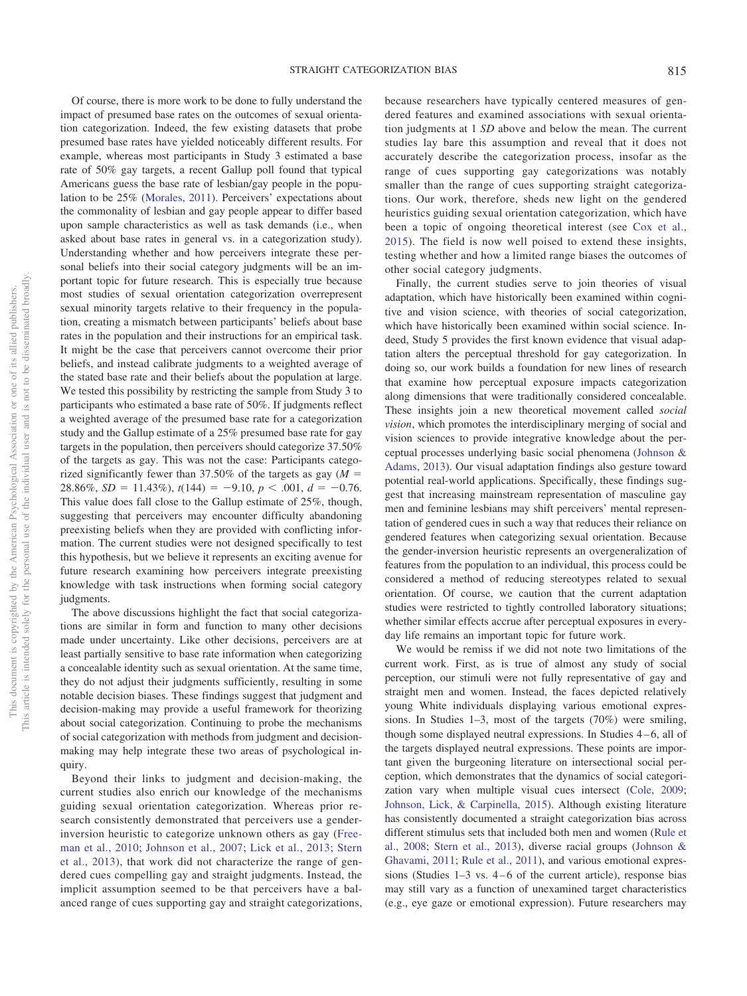Of course, there is more work to be done to fully understand the impact of presumed base rates on the outcomes of sexual orientation categorization. Indeed, the few existing datasets that probe presumed base rates have yielded noticeably different results. For example, whereas most participants in Study 3 estimated a base rate of 50% gay targets, a recent Gallup poll found that typical Americans guess the base rate of lesbian/gay people in the population to be 25% [\(Morales, 2011\)](#page-16-31). Perceivers' expectations about the commonality of lesbian and gay people appear to differ based upon sample characteristics as well as task demands (i.e., when asked about base rates in general vs. in a categorization study). Understanding whether and how perceivers integrate these personal beliefs into their social category judgments will be an important topic for future research. This is especially true because most studies of sexual orientation categorization overrepresent sexual minority targets relative to their frequency in the population, creating a mismatch between participants' beliefs about base rates in the population and their instructions for an empirical task. It might be the case that perceivers cannot overcome their prior beliefs, and instead calibrate judgments to a weighted average of the stated base rate and their beliefs about the population at large. We tested this possibility by restricting the sample from Study 3 to participants who estimated a base rate of 50%. If judgments reflect a weighted average of the presumed base rate for a categorization study and the Gallup estimate of a 25% presumed base rate for gay targets in the population, then perceivers should categorize 37.50% of the targets as gay. This was not the case: Participants categorized significantly fewer than  $37.50\%$  of the targets as gay ( $M =$  $28.86\%, SD = 11.43\%, t(144) = -9.10, p < .001, d = -0.76.$ This value does fall close to the Gallup estimate of 25%, though, suggesting that perceivers may encounter difficulty abandoning preexisting beliefs when they are provided with conflicting information. The current studies were not designed specifically to test this hypothesis, but we believe it represents an exciting avenue for future research examining how perceivers integrate preexisting knowledge with task instructions when forming social category judgments.

The above discussions highlight the fact that social categorizations are similar in form and function to many other decisions made under uncertainty. Like other decisions, perceivers are at least partially sensitive to base rate information when categorizing a concealable identity such as sexual orientation. At the same time, they do not adjust their judgments sufficiently, resulting in some notable decision biases. These findings suggest that judgment and decision-making may provide a useful framework for theorizing about social categorization. Continuing to probe the mechanisms of social categorization with methods from judgment and decisionmaking may help integrate these two areas of psychological inquiry.

Beyond their links to judgment and decision-making, the current studies also enrich our knowledge of the mechanisms guiding sexual orientation categorization. Whereas prior research consistently demonstrated that perceivers use a genderinversion heuristic to categorize unknown others as gay [\(Free](#page-15-3)[man et al., 2010;](#page-15-3) [Johnson et al., 2007;](#page-15-4) [Lick et al., 2013;](#page-16-7) [Stern](#page-16-14) [et al., 2013\)](#page-16-14), that work did not characterize the range of gendered cues compelling gay and straight judgments. Instead, the implicit assumption seemed to be that perceivers have a balanced range of cues supporting gay and straight categorizations, because researchers have typically centered measures of gendered features and examined associations with sexual orientation judgments at 1 *SD* above and below the mean. The current studies lay bare this assumption and reveal that it does not accurately describe the categorization process, insofar as the range of cues supporting gay categorizations was notably smaller than the range of cues supporting straight categorizations. Our work, therefore, sheds new light on the gendered heuristics guiding sexual orientation categorization, which have been a topic of ongoing theoretical interest (see [Cox et al.,](#page-15-19) [2015\)](#page-15-19). The field is now well poised to extend these insights, testing whether and how a limited range biases the outcomes of other social category judgments.

Finally, the current studies serve to join theories of visual adaptation, which have historically been examined within cognitive and vision science, with theories of social categorization, which have historically been examined within social science. Indeed, Study 5 provides the first known evidence that visual adaptation alters the perceptual threshold for gay categorization. In doing so, our work builds a foundation for new lines of research that examine how perceptual exposure impacts categorization along dimensions that were traditionally considered concealable. These insights join a new theoretical movement called *social vision*, which promotes the interdisciplinary merging of social and vision sciences to provide integrative knowledge about the perceptual processes underlying basic social phenomena [\(Johnson &](#page-15-24) [Adams, 2013\)](#page-15-24). Our visual adaptation findings also gesture toward potential real-world applications. Specifically, these findings suggest that increasing mainstream representation of masculine gay men and feminine lesbians may shift perceivers' mental representation of gendered cues in such a way that reduces their reliance on gendered features when categorizing sexual orientation. Because the gender-inversion heuristic represents an overgeneralization of features from the population to an individual, this process could be considered a method of reducing stereotypes related to sexual orientation. Of course, we caution that the current adaptation studies were restricted to tightly controlled laboratory situations; whether similar effects accrue after perceptual exposures in everyday life remains an important topic for future work.

We would be remiss if we did not note two limitations of the current work. First, as is true of almost any study of social perception, our stimuli were not fully representative of gay and straight men and women. Instead, the faces depicted relatively young White individuals displaying various emotional expressions. In Studies 1–3, most of the targets (70%) were smiling, though some displayed neutral expressions. In Studies 4–6, all of the targets displayed neutral expressions. These points are important given the burgeoning literature on intersectional social perception, which demonstrates that the dynamics of social categorization vary when multiple visual cues intersect [\(Cole, 2009;](#page-15-25) [Johnson, Lick, & Carpinella, 2015\)](#page-15-26). Although existing literature has consistently documented a straight categorization bias across different stimulus sets that included both men and women [\(Rule et](#page-16-11) [al., 2008;](#page-16-11) [Stern et al., 2013\)](#page-16-14), diverse racial groups [\(Johnson &](#page-15-14) [Ghavami, 2011;](#page-15-14) [Rule et al., 2011\)](#page-16-21), and various emotional expressions (Studies  $1-3$  vs.  $4-6$  of the current article), response bias may still vary as a function of unexamined target characteristics (e.g., eye gaze or emotional expression). Future researchers may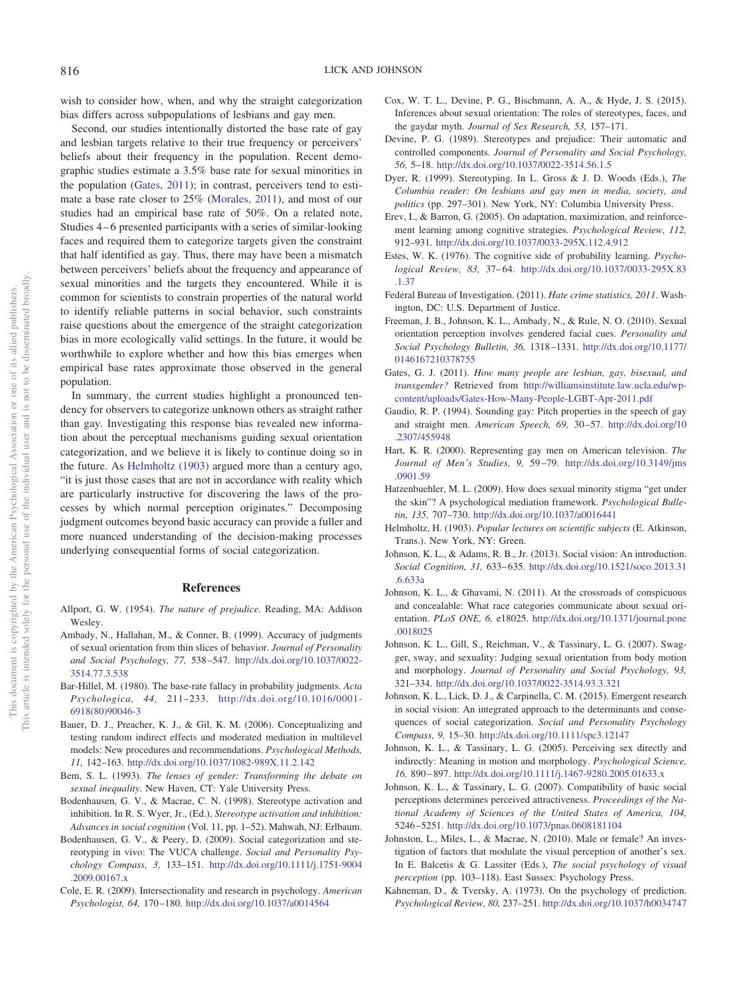wish to consider how, when, and why the straight categorization bias differs across subpopulations of lesbians and gay men.

Second, our studies intentionally distorted the base rate of gay and lesbian targets relative to their true frequency or perceivers' beliefs about their frequency in the population. Recent demographic studies estimate a 3.5% base rate for sexual minorities in the population [\(Gates, 2011\)](#page-15-17); in contrast, perceivers tend to estimate a base rate closer to 25% [\(Morales, 2011\)](#page-16-31), and most of our studies had an empirical base rate of 50%. On a related note, Studies 4 – 6 presented participants with a series of similar-looking faces and required them to categorize targets given the constraint that half identified as gay. Thus, there may have been a mismatch between perceivers' beliefs about the frequency and appearance of sexual minorities and the targets they encountered. While it is common for scientists to constrain properties of the natural world to identify reliable patterns in social behavior, such constraints raise questions about the emergence of the straight categorization bias in more ecologically valid settings. In the future, it would be worthwhile to explore whether and how this bias emerges when empirical base rates approximate those observed in the general population.

In summary, the current studies highlight a pronounced tendency for observers to categorize unknown others as straight rather than gay. Investigating this response bias revealed new information about the perceptual mechanisms guiding sexual orientation categorization, and we believe it is likely to continue doing so in the future. As [Helmholtz \(1903\)](#page-15-27) argued more than a century ago, "it is just those cases that are not in accordance with reality which are particularly instructive for discovering the laws of the processes by which normal perception originates." Decomposing judgment outcomes beyond basic accuracy can provide a fuller and more nuanced understanding of the decision-making processes underlying consequential forms of social categorization.

## **References**

- <span id="page-15-5"></span>Allport, G. W. (1954). *The nature of prejudice*. Reading, MA: Addison **Wesley**
- <span id="page-15-10"></span>Ambady, N., Hallahan, M., & Conner, B. (1999). Accuracy of judgments of sexual orientation from thin slices of behavior. *Journal of Personality and Social Psychology, 77,* 538 –547. [http://dx.doi.org/10.1037/0022-](http://dx.doi.org/10.1037/0022-3514.77.3.538) [3514.77.3.538](http://dx.doi.org/10.1037/0022-3514.77.3.538)
- <span id="page-15-18"></span>Bar-Hillel, M. (1980). The base-rate fallacy in probability judgments. *Acta Psychologica, 44,* 211–233. [http://dx.doi.org/10.1016/0001-](http://dx.doi.org/10.1016/0001-6918%2880%2990046-3) [6918\(80\)90046-3](http://dx.doi.org/10.1016/0001-6918%2880%2990046-3)
- <span id="page-15-22"></span>Bauer, D. J., Preacher, K. J., & Gil, K. M. (2006). Conceptualizing and testing random indirect effects and moderated mediation in multilevel models: New procedures and recommendations. *Psychological Methods, 11,* 142–163. <http://dx.doi.org/10.1037/1082-989X.11.2.142>
- <span id="page-15-13"></span>Bem, S. L. (1993). *The lenses of gender: Transforming the debate on sexual inequality*. New Haven, CT: Yale University Press.
- <span id="page-15-6"></span>Bodenhausen, G. V., & Macrae, C. N. (1998). Stereotype activation and inhibition. In R. S. Wyer, Jr., (Ed.), *Stereotype activation and inhibition: Advances in social cognition* (Vol. 11, pp. 1–52). Mahwah, NJ: Erlbaum.
- <span id="page-15-0"></span>Bodenhausen, G. V., & Peery, D. (2009). Social categorization and stereotyping in vivo: The VUCA challenge. *Social and Personality Psychology Compass, 3,* 133–151. [http://dx.doi.org/10.1111/j.1751-9004](http://dx.doi.org/10.1111/j.1751-9004.2009.00167.x) [.2009.00167.x](http://dx.doi.org/10.1111/j.1751-9004.2009.00167.x)
- <span id="page-15-25"></span>Cole, E. R. (2009). Intersectionality and research in psychology. *American Psychologist, 64,* 170 –180. <http://dx.doi.org/10.1037/a0014564>
- <span id="page-15-19"></span>Cox, W. T. L., Devine, P. G., Bischmann, A. A., & Hyde, J. S. (2015). Inferences about sexual orientation: The roles of stereotypes, faces, and the gaydar myth. *Journal of Sex Research, 53,* 157–171.
- <span id="page-15-7"></span>Devine, P. G. (1989). Stereotypes and prejudice: Their automatic and controlled components. *Journal of Personality and Social Psychology, 56,* 5–18. <http://dx.doi.org/10.1037/0022-3514.56.1.5>
- <span id="page-15-20"></span>Dyer, R. (1999). Stereotyping. In L. Gross & J. D. Woods (Eds.), *The Columbia reader: On lesbians and gay men in media, society, and politics* (pp. 297–301). New York, NY: Columbia University Press.
- <span id="page-15-15"></span>Erev, I., & Barron, G. (2005). On adaptation, maximization, and reinforcement learning among cognitive strategies. *Psychological Review, 112,* 912–931. <http://dx.doi.org/10.1037/0033-295X.112.4.912>
- <span id="page-15-16"></span>Estes, W. K. (1976). The cognitive side of probability learning. *Psychological Review, 83,* 37– 64. [http://dx.doi.org/10.1037/0033-295X.83](http://dx.doi.org/10.1037/0033-295X.83.1.37) [.1.37](http://dx.doi.org/10.1037/0033-295X.83.1.37)
- <span id="page-15-8"></span>Federal Bureau of Investigation. (2011). *Hate crime statistics, 2011*. Washington, DC: U.S. Department of Justice.
- <span id="page-15-3"></span>Freeman, J. B., Johnson, K. L., Ambady, N., & Rule, N. O. (2010). Sexual orientation perception involves gendered facial cues. *Personality and Social Psychology Bulletin, 36,* 1318 –1331. [http://dx.doi.org/10.1177/](http://dx.doi.org/10.1177/0146167210378755) [0146167210378755](http://dx.doi.org/10.1177/0146167210378755)
- <span id="page-15-17"></span>Gates, G. J. (2011). *How many people are lesbian, gay, bisexual, and transgender?* Retrieved from [http://williamsinstitute.law.ucla.edu/wp](http://williamsinstitute.law.ucla.edu/wp-content/uploads/Gates-How-Many-People-LGBT-Apr-2011.pdf)[content/uploads/Gates-How-Many-People-LGBT-Apr-2011.pdf](http://williamsinstitute.law.ucla.edu/wp-content/uploads/Gates-How-Many-People-LGBT-Apr-2011.pdf)
- <span id="page-15-11"></span>Gaudio, R. P. (1994). Sounding gay: Pitch properties in the speech of gay and straight men. *American Speech, 69,* 30 –57. [http://dx.doi.org/10](http://dx.doi.org/10.2307/455948) [.2307/455948](http://dx.doi.org/10.2307/455948)
- <span id="page-15-21"></span>Hart, K. R. (2000). Representing gay men on American television. *The Journal of Men's Studies, 9,* 59 –79. [http://dx.doi.org/10.3149/jms](http://dx.doi.org/10.3149/jms.0901.59) [.0901.59](http://dx.doi.org/10.3149/jms.0901.59)
- <span id="page-15-9"></span>Hatzenbuehler, M. L. (2009). How does sexual minority stigma "get under the skin"? A psychological mediation framework. *Psychological Bulletin, 135,* 707–730. <http://dx.doi.org/10.1037/a0016441>
- <span id="page-15-27"></span>Helmholtz, H. (1903). *Popular lectures on scientific subjects* (E. Atkinson, Trans.). New York, NY: Green.
- <span id="page-15-24"></span>Johnson, K. L., & Adams, R. B., Jr. (2013). Social vision: An introduction. *Social Cognition, 31,* 633– 635. [http://dx.doi.org/10.1521/soco.2013.31](http://dx.doi.org/10.1521/soco.2013.31.6.633a) [.6.633a](http://dx.doi.org/10.1521/soco.2013.31.6.633a)
- <span id="page-15-14"></span>Johnson, K. L., & Ghavami, N. (2011). At the crossroads of conspicuous and concealable: What race categories communicate about sexual orientation. *PLoS ONE, 6,* e18025. [http://dx.doi.org/10.1371/journal.pone](http://dx.doi.org/10.1371/journal.pone.0018025) [.0018025](http://dx.doi.org/10.1371/journal.pone.0018025)
- <span id="page-15-4"></span>Johnson, K. L., Gill, S., Reichman, V., & Tassinary, L. G. (2007). Swagger, sway, and sexuality: Judging sexual orientation from body motion and morphology. *Journal of Personality and Social Psychology, 93,* 321–334. <http://dx.doi.org/10.1037/0022-3514.93.3.321>
- <span id="page-15-26"></span>Johnson, K. L., Lick, D. J., & Carpinella, C. M. (2015). Emergent research in social vision: An integrated approach to the determinants and consequences of social categorization. *Social and Personality Psychology Compass, 9,* 15–30. <http://dx.doi.org/10.1111/spc3.12147>
- <span id="page-15-2"></span>Johnson, K. L., & Tassinary, L. G. (2005). Perceiving sex directly and indirectly: Meaning in motion and morphology. *Psychological Science, 16,* 890 – 897. <http://dx.doi.org/10.1111/j.1467-9280.2005.01633.x>
- <span id="page-15-12"></span>Johnson, K. L., & Tassinary, L. G. (2007). Compatibility of basic social perceptions determines perceived attractiveness. *Proceedings of the National Academy of Sciences of the United States of America, 104,* 5246 –5251. <http://dx.doi.org/10.1073/pnas.0608181104>
- <span id="page-15-1"></span>Johnston, L., Miles, L., & Macrae, N. (2010). Male or female? An investigation of factors that modulate the visual perception of another's sex. In E. Balcetis & G. Lassiter (Eds.), *The social psychology of visual perception* (pp. 103–118). East Sussex: Psychology Press.
- <span id="page-15-23"></span>Kahneman, D., & Tversky, A. (1973). On the psychology of prediction. *Psychological Review, 80,* 237–251. <http://dx.doi.org/10.1037/h0034747>